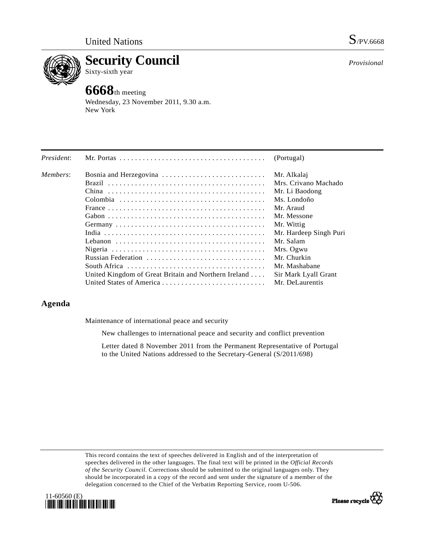

**Security Council** 

Sixty-sixth year

# **6668**th meeting

Wednesday, 23 November 2011, 9.30 a.m. New York

| President: |                                                      | (Portugal)             |
|------------|------------------------------------------------------|------------------------|
| Members:   | Bosnia and Herzegovina                               | Mr. Alkalaj            |
|            |                                                      | Mrs. Crivano Machado   |
|            |                                                      | Mr. Li Baodong         |
|            |                                                      | Ms. Londoño            |
|            |                                                      | Mr. Araud              |
|            |                                                      | Mr. Messone            |
|            |                                                      | Mr. Wittig             |
|            |                                                      | Mr. Hardeep Singh Puri |
|            |                                                      | Mr. Salam              |
|            |                                                      | Mrs. Ogwu              |
|            | Russian Federation                                   | Mr. Churkin            |
|            |                                                      | Mr. Mashabane          |
|            | United Kingdom of Great Britain and Northern Ireland | Sir Mark Lyall Grant   |
|            |                                                      | Mr. DeLaurentis        |

# **Agenda**

Maintenance of international peace and security

New challenges to international peace and security and conflict prevention

 Letter dated 8 November 2011 from the Permanent Representative of Portugal to the United Nations addressed to the Secretary-General (S/2011/698)

This record contains the text of speeches delivered in English and of the interpretation of speeches delivered in the other languages. The final text will be printed in the *Official Records of the Security Council*. Corrections should be submitted to the original languages only. They should be incorporated in a copy of the record and sent under the signature of a member of the delegation concerned to the Chief of the Verbatim Reporting Service, room U-506.





Please recycle

*Provisional*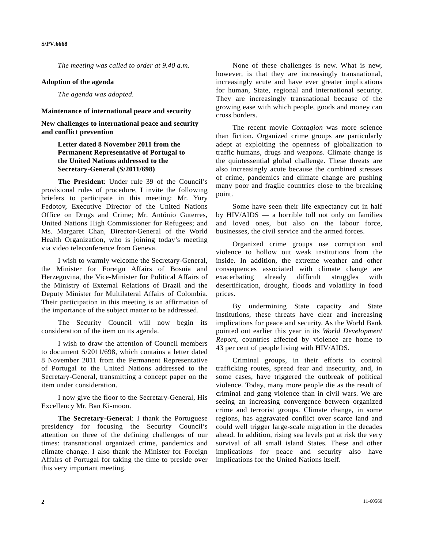*The meeting was called to order at 9.40 a.m.* 

#### **Adoption of the agenda**

*The agenda was adopted.* 

#### **Maintenance of international peace and security**

**New challenges to international peace and security and conflict prevention** 

## **Letter dated 8 November 2011 from the Permanent Representative of Portugal to the United Nations addressed to the Secretary-General (S/2011/698)**

**The President**: Under rule 39 of the Council's provisional rules of procedure, I invite the following briefers to participate in this meeting: Mr. Yury Fedotov, Executive Director of the United Nations Office on Drugs and Crime; Mr. António Guterres, United Nations High Commissioner for Refugees; and Ms. Margaret Chan, Director-General of the World Health Organization, who is joining today's meeting via video teleconference from Geneva.

 I wish to warmly welcome the Secretary-General, the Minister for Foreign Affairs of Bosnia and Herzegovina, the Vice-Minister for Political Affairs of the Ministry of External Relations of Brazil and the Deputy Minister for Multilateral Affairs of Colombia. Their participation in this meeting is an affirmation of the importance of the subject matter to be addressed.

 The Security Council will now begin its consideration of the item on its agenda.

 I wish to draw the attention of Council members to document S/2011/698, which contains a letter dated 8 November 2011 from the Permanent Representative of Portugal to the United Nations addressed to the Secretary-General, transmitting a concept paper on the item under consideration.

 I now give the floor to the Secretary-General, His Excellency Mr. Ban Ki-moon.

**The Secretary-General**: I thank the Portuguese presidency for focusing the Security Council's attention on three of the defining challenges of our times: transnational organized crime, pandemics and climate change. I also thank the Minister for Foreign Affairs of Portugal for taking the time to preside over this very important meeting.

 None of these challenges is new. What is new, however, is that they are increasingly transnational, increasingly acute and have ever greater implications for human, State, regional and international security. They are increasingly transnational because of the growing ease with which people, goods and money can cross borders.

 The recent movie *Contagion* was more science than fiction. Organized crime groups are particularly adept at exploiting the openness of globalization to traffic humans, drugs and weapons. Climate change is the quintessential global challenge. These threats are also increasingly acute because the combined stresses of crime, pandemics and climate change are pushing many poor and fragile countries close to the breaking point.

 Some have seen their life expectancy cut in half by  $HIV/AIDS$  — a horrible toll not only on families and loved ones, but also on the labour force, businesses, the civil service and the armed forces.

 Organized crime groups use corruption and violence to hollow out weak institutions from the inside. In addition, the extreme weather and other consequences associated with climate change are exacerbating already difficult struggles with desertification, drought, floods and volatility in food prices.

 By undermining State capacity and State institutions, these threats have clear and increasing implications for peace and security. As the World Bank pointed out earlier this year in its *World Development Report*, countries affected by violence are home to 43 per cent of people living with HIV/AIDS.

 Criminal groups, in their efforts to control trafficking routes, spread fear and insecurity, and, in some cases, have triggered the outbreak of political violence. Today, many more people die as the result of criminal and gang violence than in civil wars. We are seeing an increasing convergence between organized crime and terrorist groups. Climate change, in some regions, has aggravated conflict over scarce land and could well trigger large-scale migration in the decades ahead. In addition, rising sea levels put at risk the very survival of all small island States. These and other implications for peace and security also have implications for the United Nations itself.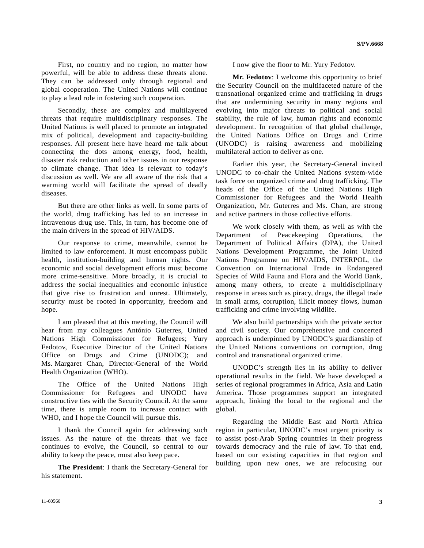First, no country and no region, no matter how powerful, will be able to address these threats alone. They can be addressed only through regional and global cooperation. The United Nations will continue to play a lead role in fostering such cooperation.

 Secondly, these are complex and multilayered threats that require multidisciplinary responses. The United Nations is well placed to promote an integrated mix of political, development and capacity-building responses. All present here have heard me talk about connecting the dots among energy, food, health, disaster risk reduction and other issues in our response to climate change. That idea is relevant to today's discussion as well. We are all aware of the risk that a warming world will facilitate the spread of deadly diseases.

 But there are other links as well. In some parts of the world, drug trafficking has led to an increase in intravenous drug use. This, in turn, has become one of the main drivers in the spread of HIV/AIDS.

 Our response to crime, meanwhile, cannot be limited to law enforcement. It must encompass public health, institution-building and human rights. Our economic and social development efforts must become more crime-sensitive. More broadly, it is crucial to address the social inequalities and economic injustice that give rise to frustration and unrest. Ultimately, security must be rooted in opportunity, freedom and hope.

 I am pleased that at this meeting, the Council will hear from my colleagues António Guterres, United Nations High Commissioner for Refugees; Yury Fedotov, Executive Director of the United Nations Office on Drugs and Crime (UNODC); and Ms. Margaret Chan, Director-General of the World Health Organization (WHO).

 The Office of the United Nations High Commissioner for Refugees and UNODC have constructive ties with the Security Council. At the same time, there is ample room to increase contact with WHO, and I hope the Council will pursue this.

 I thank the Council again for addressing such issues. As the nature of the threats that we face continues to evolve, the Council, so central to our ability to keep the peace, must also keep pace.

**The President**: I thank the Secretary-General for his statement.

I now give the floor to Mr. Yury Fedotov.

**Mr. Fedotov**: I welcome this opportunity to brief the Security Council on the multifaceted nature of the transnational organized crime and trafficking in drugs that are undermining security in many regions and evolving into major threats to political and social stability, the rule of law, human rights and economic development. In recognition of that global challenge, the United Nations Office on Drugs and Crime (UNODC) is raising awareness and mobilizing multilateral action to deliver as one.

 Earlier this year, the Secretary-General invited UNODC to co-chair the United Nations system-wide task force on organized crime and drug trafficking. The heads of the Office of the United Nations High Commissioner for Refugees and the World Health Organization, Mr. Guterres and Ms. Chan, are strong and active partners in those collective efforts.

 We work closely with them, as well as with the Department of Peacekeeping Operations, the Department of Political Affairs (DPA), the United Nations Development Programme, the Joint United Nations Programme on HIV/AIDS, INTERPOL, the Convention on International Trade in Endangered Species of Wild Fauna and Flora and the World Bank, among many others, to create a multidisciplinary response in areas such as piracy, drugs, the illegal trade in small arms, corruption, illicit money flows, human trafficking and crime involving wildlife.

 We also build partnerships with the private sector and civil society. Our comprehensive and concerted approach is underpinned by UNODC's guardianship of the United Nations conventions on corruption, drug control and transnational organized crime.

 UNODC's strength lies in its ability to deliver operational results in the field. We have developed a series of regional programmes in Africa, Asia and Latin America. Those programmes support an integrated approach, linking the local to the regional and the global.

 Regarding the Middle East and North Africa region in particular, UNODC's most urgent priority is to assist post-Arab Spring countries in their progress towards democracy and the rule of law. To that end, based on our existing capacities in that region and building upon new ones, we are refocusing our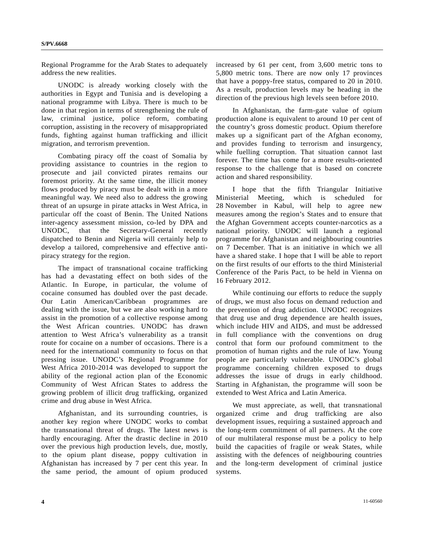Regional Programme for the Arab States to adequately address the new realities.

 UNODC is already working closely with the authorities in Egypt and Tunisia and is developing a national programme with Libya. There is much to be done in that region in terms of strengthening the rule of law, criminal justice, police reform, combating corruption, assisting in the recovery of misappropriated funds, fighting against human trafficking and illicit migration, and terrorism prevention.

 Combating piracy off the coast of Somalia by providing assistance to countries in the region to prosecute and jail convicted pirates remains our foremost priority. At the same time, the illicit money flows produced by piracy must be dealt with in a more meaningful way. We need also to address the growing threat of an upsurge in pirate attacks in West Africa, in particular off the coast of Benin. The United Nations inter-agency assessment mission, co-led by DPA and UNODC, that the Secretary-General recently dispatched to Benin and Nigeria will certainly help to develop a tailored, comprehensive and effective antipiracy strategy for the region.

 The impact of transnational cocaine trafficking has had a devastating effect on both sides of the Atlantic. In Europe, in particular, the volume of cocaine consumed has doubled over the past decade. Our Latin American/Caribbean programmes are dealing with the issue, but we are also working hard to assist in the promotion of a collective response among the West African countries. UNODC has drawn attention to West Africa's vulnerability as a transit route for cocaine on a number of occasions. There is a need for the international community to focus on that pressing issue. UNODC's Regional Programme for West Africa 2010-2014 was developed to support the ability of the regional action plan of the Economic Community of West African States to address the growing problem of illicit drug trafficking, organized crime and drug abuse in West Africa.

 Afghanistan, and its surrounding countries, is another key region where UNODC works to combat the transnational threat of drugs. The latest news is hardly encouraging. After the drastic decline in 2010 over the previous high production levels, due, mostly, to the opium plant disease, poppy cultivation in Afghanistan has increased by 7 per cent this year. In the same period, the amount of opium produced

increased by 61 per cent, from 3,600 metric tons to 5,800 metric tons. There are now only 17 provinces that have a poppy-free status, compared to 20 in 2010. As a result, production levels may be heading in the direction of the previous high levels seen before 2010.

 In Afghanistan, the farm-gate value of opium production alone is equivalent to around 10 per cent of the country's gross domestic product. Opium therefore makes up a significant part of the Afghan economy, and provides funding to terrorism and insurgency, while fuelling corruption. That situation cannot last forever. The time has come for a more results-oriented response to the challenge that is based on concrete action and shared responsibility.

 I hope that the fifth Triangular Initiative Ministerial Meeting, which is scheduled for 28 November in Kabul, will help to agree new measures among the region's States and to ensure that the Afghan Government accepts counter-narcotics as a national priority. UNODC will launch a regional programme for Afghanistan and neighbouring countries on 7 December. That is an initiative in which we all have a shared stake. I hope that I will be able to report on the first results of our efforts to the third Ministerial Conference of the Paris Pact, to be held in Vienna on 16 February 2012.

 While continuing our efforts to reduce the supply of drugs, we must also focus on demand reduction and the prevention of drug addiction. UNODC recognizes that drug use and drug dependence are health issues, which include HIV and AIDS, and must be addressed in full compliance with the conventions on drug control that form our profound commitment to the promotion of human rights and the rule of law. Young people are particularly vulnerable. UNODC's global programme concerning children exposed to drugs addresses the issue of drugs in early childhood. Starting in Afghanistan, the programme will soon be extended to West Africa and Latin America.

 We must appreciate, as well, that transnational organized crime and drug trafficking are also development issues, requiring a sustained approach and the long-term commitment of all partners. At the core of our multilateral response must be a policy to help build the capacities of fragile or weak States, while assisting with the defences of neighbouring countries and the long-term development of criminal justice systems.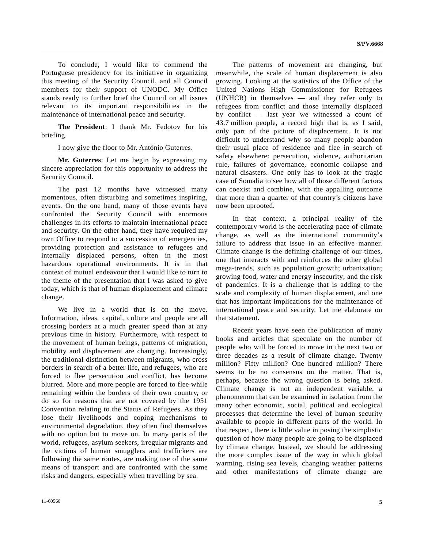To conclude, I would like to commend the Portuguese presidency for its initiative in organizing this meeting of the Security Council, and all Council members for their support of UNODC. My Office stands ready to further brief the Council on all issues relevant to its important responsibilities in the maintenance of international peace and security.

**The President**: I thank Mr. Fedotov for his briefing.

I now give the floor to Mr. António Guterres.

**Mr. Guterres**: Let me begin by expressing my sincere appreciation for this opportunity to address the Security Council.

 The past 12 months have witnessed many momentous, often disturbing and sometimes inspiring, events. On the one hand, many of those events have confronted the Security Council with enormous challenges in its efforts to maintain international peace and security. On the other hand, they have required my own Office to respond to a succession of emergencies, providing protection and assistance to refugees and internally displaced persons, often in the most hazardous operational environments. It is in that context of mutual endeavour that I would like to turn to the theme of the presentation that I was asked to give today, which is that of human displacement and climate change.

We live in a world that is on the move. Information, ideas, capital, culture and people are all crossing borders at a much greater speed than at any previous time in history. Furthermore, with respect to the movement of human beings, patterns of migration, mobility and displacement are changing. Increasingly, the traditional distinction between migrants, who cross borders in search of a better life, and refugees, who are forced to flee persecution and conflict, has become blurred. More and more people are forced to flee while remaining within the borders of their own country, or do so for reasons that are not covered by the 1951 Convention relating to the Status of Refugees. As they lose their livelihoods and coping mechanisms to environmental degradation, they often find themselves with no option but to move on. In many parts of the world, refugees, asylum seekers, irregular migrants and the victims of human smugglers and traffickers are following the same routes, are making use of the same means of transport and are confronted with the same risks and dangers, especially when travelling by sea.

 The patterns of movement are changing, but meanwhile, the scale of human displacement is also growing. Looking at the statistics of the Office of the United Nations High Commissioner for Refugees (UNHCR) in themselves — and they refer only to refugees from conflict and those internally displaced by conflict — last year we witnessed a count of 43.7 million people, a record high that is, as I said, only part of the picture of displacement. It is not difficult to understand why so many people abandon their usual place of residence and flee in search of safety elsewhere: persecution, violence, authoritarian rule, failures of governance, economic collapse and natural disasters. One only has to look at the tragic case of Somalia to see how all of those different factors can coexist and combine, with the appalling outcome that more than a quarter of that country's citizens have now been uprooted.

 In that context, a principal reality of the contemporary world is the accelerating pace of climate change, as well as the international community's failure to address that issue in an effective manner. Climate change is the defining challenge of our times, one that interacts with and reinforces the other global mega-trends, such as population growth; urbanization; growing food, water and energy insecurity; and the risk of pandemics. It is a challenge that is adding to the scale and complexity of human displacement, and one that has important implications for the maintenance of international peace and security. Let me elaborate on that statement.

 Recent years have seen the publication of many books and articles that speculate on the number of people who will be forced to move in the next two or three decades as a result of climate change. Twenty million? Fifty million? One hundred million? There seems to be no consensus on the matter. That is, perhaps, because the wrong question is being asked. Climate change is not an independent variable, a phenomenon that can be examined in isolation from the many other economic, social, political and ecological processes that determine the level of human security available to people in different parts of the world. In that respect, there is little value in posing the simplistic question of how many people are going to be displaced by climate change. Instead, we should be addressing the more complex issue of the way in which global warming, rising sea levels, changing weather patterns and other manifestations of climate change are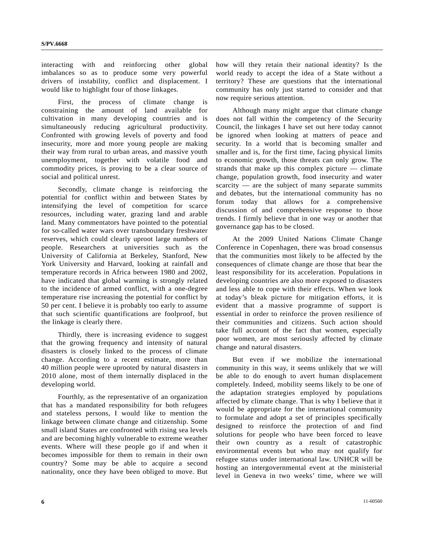interacting with and reinforcing other global imbalances so as to produce some very powerful drivers of instability, conflict and displacement. I would like to highlight four of those linkages.

 First, the process of climate change is constraining the amount of land available for cultivation in many developing countries and is simultaneously reducing agricultural productivity. Confronted with growing levels of poverty and food insecurity, more and more young people are making their way from rural to urban areas, and massive youth unemployment, together with volatile food and commodity prices, is proving to be a clear source of social and political unrest.

 Secondly, climate change is reinforcing the potential for conflict within and between States by intensifying the level of competition for scarce resources, including water, grazing land and arable land. Many commentators have pointed to the potential for so-called water wars over transboundary freshwater reserves, which could clearly uproot large numbers of people. Researchers at universities such as the University of California at Berkeley, Stanford, New York University and Harvard, looking at rainfall and temperature records in Africa between 1980 and 2002, have indicated that global warming is strongly related to the incidence of armed conflict, with a one-degree temperature rise increasing the potential for conflict by 50 per cent. I believe it is probably too early to assume that such scientific quantifications are foolproof, but the linkage is clearly there.

 Thirdly, there is increasing evidence to suggest that the growing frequency and intensity of natural disasters is closely linked to the process of climate change. According to a recent estimate, more than 40 million people were uprooted by natural disasters in 2010 alone, most of them internally displaced in the developing world.

 Fourthly, as the representative of an organization that has a mandated responsibility for both refugees and stateless persons, I would like to mention the linkage between climate change and citizenship. Some small island States are confronted with rising sea levels and are becoming highly vulnerable to extreme weather events. Where will these people go if and when it becomes impossible for them to remain in their own country? Some may be able to acquire a second nationality, once they have been obliged to move. But

how will they retain their national identity? Is the world ready to accept the idea of a State without a territory? These are questions that the international community has only just started to consider and that now require serious attention.

 Although many might argue that climate change does not fall within the competency of the Security Council, the linkages I have set out here today cannot be ignored when looking at matters of peace and security. In a world that is becoming smaller and smaller and is, for the first time, facing physical limits to economic growth, those threats can only grow. The strands that make up this complex picture — climate change, population growth, food insecurity and water scarcity — are the subject of many separate summits and debates, but the international community has no forum today that allows for a comprehensive discussion of and comprehensive response to those trends. I firmly believe that in one way or another that governance gap has to be closed.

 At the 2009 United Nations Climate Change Conference in Copenhagen, there was broad consensus that the communities most likely to be affected by the consequences of climate change are those that bear the least responsibility for its acceleration. Populations in developing countries are also more exposed to disasters and less able to cope with their effects. When we look at today's bleak picture for mitigation efforts, it is evident that a massive programme of support is essential in order to reinforce the proven resilience of their communities and citizens. Such action should take full account of the fact that women, especially poor women, are most seriously affected by climate change and natural disasters.

 But even if we mobilize the international community in this way, it seems unlikely that we will be able to do enough to avert human displacement completely. Indeed, mobility seems likely to be one of the adaptation strategies employed by populations affected by climate change. That is why I believe that it would be appropriate for the international community to formulate and adopt a set of principles specifically designed to reinforce the protection of and find solutions for people who have been forced to leave their own country as a result of catastrophic environmental events but who may not qualify for refugee status under international law. UNHCR will be hosting an intergovernmental event at the ministerial level in Geneva in two weeks' time, where we will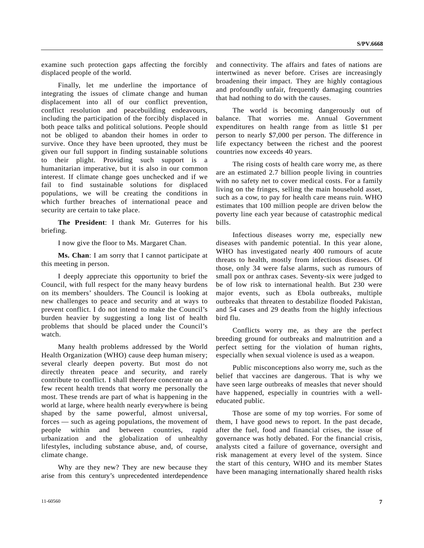examine such protection gaps affecting the forcibly displaced people of the world.

 Finally, let me underline the importance of integrating the issues of climate change and human displacement into all of our conflict prevention, conflict resolution and peacebuilding endeavours, including the participation of the forcibly displaced in both peace talks and political solutions. People should not be obliged to abandon their homes in order to survive. Once they have been uprooted, they must be given our full support in finding sustainable solutions to their plight. Providing such support is a humanitarian imperative, but it is also in our common interest. If climate change goes unchecked and if we fail to find sustainable solutions for displaced populations, we will be creating the conditions in which further breaches of international peace and security are certain to take place.

**The President**: I thank Mr. Guterres for his briefing.

I now give the floor to Ms. Margaret Chan.

**Ms. Chan**: I am sorry that I cannot participate at this meeting in person.

 I deeply appreciate this opportunity to brief the Council, with full respect for the many heavy burdens on its members' shoulders. The Council is looking at new challenges to peace and security and at ways to prevent conflict. I do not intend to make the Council's burden heavier by suggesting a long list of health problems that should be placed under the Council's watch.

 Many health problems addressed by the World Health Organization (WHO) cause deep human misery; several clearly deepen poverty. But most do not directly threaten peace and security, and rarely contribute to conflict. I shall therefore concentrate on a few recent health trends that worry me personally the most. These trends are part of what is happening in the world at large, where health nearly everywhere is being shaped by the same powerful, almost universal, forces — such as ageing populations, the movement of people within and between countries, rapid urbanization and the globalization of unhealthy lifestyles, including substance abuse, and, of course, climate change.

 Why are they new? They are new because they arise from this century's unprecedented interdependence and connectivity. The affairs and fates of nations are intertwined as never before. Crises are increasingly broadening their impact. They are highly contagious and profoundly unfair, frequently damaging countries that had nothing to do with the causes.

 The world is becoming dangerously out of balance. That worries me. Annual Government expenditures on health range from as little \$1 per person to nearly \$7,000 per person. The difference in life expectancy between the richest and the poorest countries now exceeds 40 years.

 The rising costs of health care worry me, as there are an estimated 2.7 billion people living in countries with no safety net to cover medical costs. For a family living on the fringes, selling the main household asset, such as a cow, to pay for health care means ruin. WHO estimates that 100 million people are driven below the poverty line each year because of catastrophic medical bills.

 Infectious diseases worry me, especially new diseases with pandemic potential. In this year alone, WHO has investigated nearly 400 rumours of acute threats to health, mostly from infectious diseases. Of those, only 34 were false alarms, such as rumours of small pox or anthrax cases. Seventy-six were judged to be of low risk to international health. But 230 were major events, such as Ebola outbreaks, multiple outbreaks that threaten to destabilize flooded Pakistan, and 54 cases and 29 deaths from the highly infectious bird flu.

 Conflicts worry me, as they are the perfect breeding ground for outbreaks and malnutrition and a perfect setting for the violation of human rights, especially when sexual violence is used as a weapon.

 Public misconceptions also worry me, such as the belief that vaccines are dangerous. That is why we have seen large outbreaks of measles that never should have happened, especially in countries with a welleducated public.

 Those are some of my top worries. For some of them, I have good news to report. In the past decade, after the fuel, food and financial crises, the issue of governance was hotly debated. For the financial crisis, analysts cited a failure of governance, oversight and risk management at every level of the system. Since the start of this century, WHO and its member States have been managing internationally shared health risks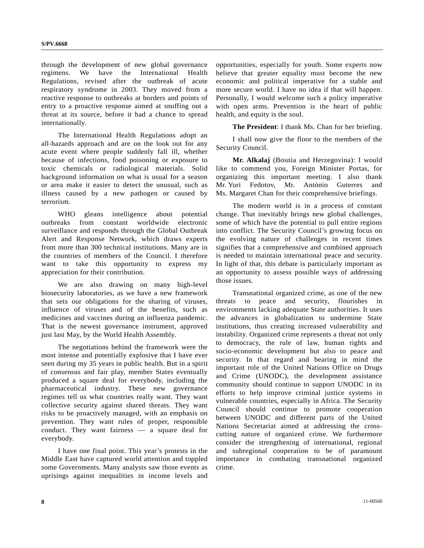through the development of new global governance regimens. We have the International Health Regulations, revised after the outbreak of acute respiratory syndrome in 2003. They moved from a reactive response to outbreaks at borders and points of entry to a proactive response aimed at snuffing out a threat at its source, before it had a chance to spread internationally.

 The International Health Regulations adopt an all-hazards approach and are on the look out for any acute event where people suddenly fall ill, whether because of infections, food poisoning or exposure to toxic chemicals or radiological materials. Solid background information on what is usual for a season or area make it easier to detect the unusual, such as illness caused by a new pathogen or caused by terrorism.

 WHO gleans intelligence about potential outbreaks from constant worldwide electronic surveillance and responds through the Global Outbreak Alert and Response Network, which draws experts from more than 300 technical institutions. Many are in the countries of members of the Council. I therefore want to take this opportunity to express my appreciation for their contribution.

 We are also drawing on many high-level biosecurity laboratories, as we have a new framework that sets our obligations for the sharing of viruses, influence of viruses and of the benefits, such as medicines and vaccines during an influenza pandemic. That is the newest governance instrument, approved just last May, by the World Health Assembly.

 The negotiations behind the framework were the most intense and potentially explosive that I have ever seen during my 35 years in public health. But in a spirit of consensus and fair play, member States eventually produced a square deal for everybody, including the pharmaceutical industry. These new governance regimes tell us what countries really want. They want collective security against shared threats. They want risks to be proactively managed, with an emphasis on prevention. They want rules of proper, responsible conduct. They want fairness — a square deal for everybody.

 I have one final point. This year's protests in the Middle East have captured world attention and toppled some Governments. Many analysts saw those events as uprisings against inequalities in income levels and

opportunities, especially for youth. Some experts now believe that greater equality must become the new economic and political imperative for a stable and more secure world. I have no idea if that will happen. Personally, I would welcome such a policy imperative with open arms. Prevention is the heart of public health, and equity is the soul.

**The President**: I thank Ms. Chan for her briefing.

 I shall now give the floor to the members of the Security Council.

**Mr. Alkalaj** (Bosnia and Herzegovina): I would like to commend you, Foreign Minister Portas, for organizing this important meeting. I also thank Mr. Yuri Fedotov, Mr. António Guterres and Ms. Margaret Chan for their comprehensive briefings.

 The modern world is in a process of constant change. That inevitably brings new global challenges, some of which have the potential to pull entire regions into conflict. The Security Council's growing focus on the evolving nature of challenges in recent times signifies that a comprehensive and combined approach is needed to maintain international peace and security. In light of that, this debate is particularly important as an opportunity to assess possible ways of addressing those issues.

 Transnational organized crime, as one of the new threats to peace and security, flourishes in environments lacking adequate State authorities. It uses the advances in globalization to undermine State institutions, thus creating increased vulnerability and instability. Organized crime represents a threat not only to democracy, the rule of law, human rights and socio-economic development but also to peace and security. In that regard and bearing in mind the important role of the United Nations Office on Drugs and Crime (UNODC), the development assistance community should continue to support UNODC in its efforts to help improve criminal justice systems in vulnerable countries, especially in Africa. The Security Council should continue to promote cooperation between UNODC and different parts of the United Nations Secretariat aimed at addressing the crosscutting nature of organized crime. We furthermore consider the strengthening of international, regional and subregional cooperation to be of paramount importance in combating transnational organized crime.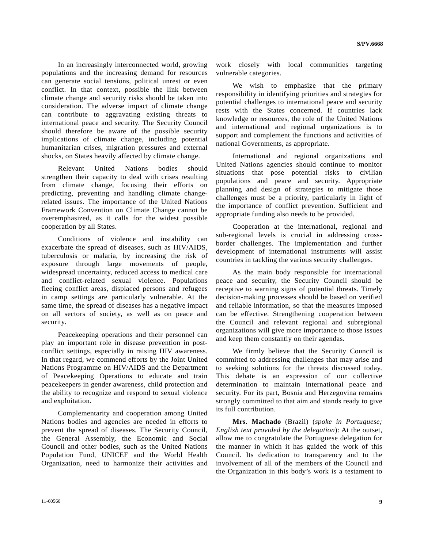In an increasingly interconnected world, growing populations and the increasing demand for resources can generate social tensions, political unrest or even conflict. In that context, possible the link between climate change and security risks should be taken into consideration. The adverse impact of climate change can contribute to aggravating existing threats to international peace and security. The Security Council should therefore be aware of the possible security implications of climate change, including potential humanitarian crises, migration pressures and external shocks, on States heavily affected by climate change.

 Relevant United Nations bodies should strengthen their capacity to deal with crises resulting from climate change, focusing their efforts on predicting, preventing and handling climate changerelated issues. The importance of the United Nations Framework Convention on Climate Change cannot be overemphasized, as it calls for the widest possible cooperation by all States.

 Conditions of violence and instability can exacerbate the spread of diseases, such as HIV/AIDS, tuberculosis or malaria, by increasing the risk of exposure through large movements of people, widespread uncertainty, reduced access to medical care and conflict-related sexual violence. Populations fleeing conflict areas, displaced persons and refugees in camp settings are particularly vulnerable. At the same time, the spread of diseases has a negative impact on all sectors of society, as well as on peace and security.

 Peacekeeping operations and their personnel can play an important role in disease prevention in postconflict settings, especially in raising HIV awareness. In that regard, we commend efforts by the Joint United Nations Programme on HIV/AIDS and the Department of Peacekeeping Operations to educate and train peacekeepers in gender awareness, child protection and the ability to recognize and respond to sexual violence and exploitation.

 Complementarity and cooperation among United Nations bodies and agencies are needed in efforts to prevent the spread of diseases. The Security Council, the General Assembly, the Economic and Social Council and other bodies, such as the United Nations Population Fund, UNICEF and the World Health Organization, need to harmonize their activities and work closely with local communities targeting vulnerable categories.

We wish to emphasize that the primary responsibility in identifying priorities and strategies for potential challenges to international peace and security rests with the States concerned. If countries lack knowledge or resources, the role of the United Nations and international and regional organizations is to support and complement the functions and activities of national Governments, as appropriate.

 International and regional organizations and United Nations agencies should continue to monitor situations that pose potential risks to civilian populations and peace and security. Appropriate planning and design of strategies to mitigate those challenges must be a priority, particularly in light of the importance of conflict prevention. Sufficient and appropriate funding also needs to be provided.

 Cooperation at the international, regional and sub-regional levels is crucial in addressing crossborder challenges. The implementation and further development of international instruments will assist countries in tackling the various security challenges.

 As the main body responsible for international peace and security, the Security Council should be receptive to warning signs of potential threats. Timely decision-making processes should be based on verified and reliable information, so that the measures imposed can be effective. Strengthening cooperation between the Council and relevant regional and subregional organizations will give more importance to those issues and keep them constantly on their agendas.

 We firmly believe that the Security Council is committed to addressing challenges that may arise and to seeking solutions for the threats discussed today. This debate is an expression of our collective determination to maintain international peace and security. For its part, Bosnia and Herzegovina remains strongly committed to that aim and stands ready to give its full contribution.

**Mrs. Machado** (Brazil) (*spoke in Portuguese; English text provided by the delegation*): At the outset, allow me to congratulate the Portuguese delegation for the manner in which it has guided the work of this Council. Its dedication to transparency and to the involvement of all of the members of the Council and the Organization in this body's work is a testament to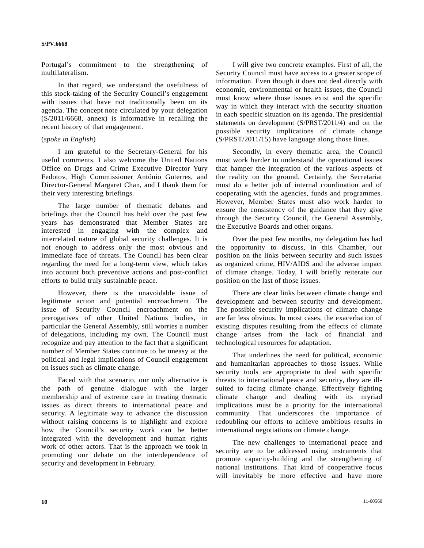Portugal's commitment to the strengthening of multilateralism.

 In that regard, we understand the usefulness of this stock-taking of the Security Council's engagement with issues that have not traditionally been on its agenda. The concept note circulated by your delegation (S/2011/6668, annex) is informative in recalling the recent history of that engagement.

#### (*spoke in English*)

 I am grateful to the Secretary-General for his useful comments. I also welcome the United Nations Office on Drugs and Crime Executive Director Yury Fedotov, High Commissioner António Guterres, and Director-General Margaret Chan, and I thank them for their very interesting briefings.

 The large number of thematic debates and briefings that the Council has held over the past few years has demonstrated that Member States are interested in engaging with the complex and interrelated nature of global security challenges. It is not enough to address only the most obvious and immediate face of threats. The Council has been clear regarding the need for a long-term view, which takes into account both preventive actions and post-conflict efforts to build truly sustainable peace.

 However, there is the unavoidable issue of legitimate action and potential encroachment. The issue of Security Council encroachment on the prerogatives of other United Nations bodies, in particular the General Assembly, still worries a number of delegations, including my own. The Council must recognize and pay attention to the fact that a significant number of Member States continue to be uneasy at the political and legal implications of Council engagement on issues such as climate change.

 Faced with that scenario, our only alternative is the path of genuine dialogue with the larger membership and of extreme care in treating thematic issues as direct threats to international peace and security. A legitimate way to advance the discussion without raising concerns is to highlight and explore how the Council's security work can be better integrated with the development and human rights work of other actors. That is the approach we took in promoting our debate on the interdependence of security and development in February.

 I will give two concrete examples. First of all, the Security Council must have access to a greater scope of information. Even though it does not deal directly with economic, environmental or health issues, the Council must know where those issues exist and the specific way in which they interact with the security situation in each specific situation on its agenda. The presidential statements on development (S/PRST/2011/4) and on the possible security implications of climate change (S/PRST/2011/15) have language along those lines.

 Secondly, in every thematic area, the Council must work harder to understand the operational issues that hamper the integration of the various aspects of the reality on the ground. Certainly, the Secretariat must do a better job of internal coordination and of cooperating with the agencies, funds and programmes. However, Member States must also work harder to ensure the consistency of the guidance that they give through the Security Council, the General Assembly, the Executive Boards and other organs.

 Over the past few months, my delegation has had the opportunity to discuss, in this Chamber, our position on the links between security and such issues as organized crime, HIV/AIDS and the adverse impact of climate change. Today, I will briefly reiterate our position on the last of those issues.

 There are clear links between climate change and development and between security and development. The possible security implications of climate change are far less obvious. In most cases, the exacerbation of existing disputes resulting from the effects of climate change arises from the lack of financial and technological resources for adaptation.

 That underlines the need for political, economic and humanitarian approaches to those issues. While security tools are appropriate to deal with specific threats to international peace and security, they are illsuited to facing climate change. Effectively fighting climate change and dealing with its myriad implications must be a priority for the international community. That underscores the importance of redoubling our efforts to achieve ambitious results in international negotiations on climate change.

 The new challenges to international peace and security are to be addressed using instruments that promote capacity-building and the strengthening of national institutions. That kind of cooperative focus will inevitably be more effective and have more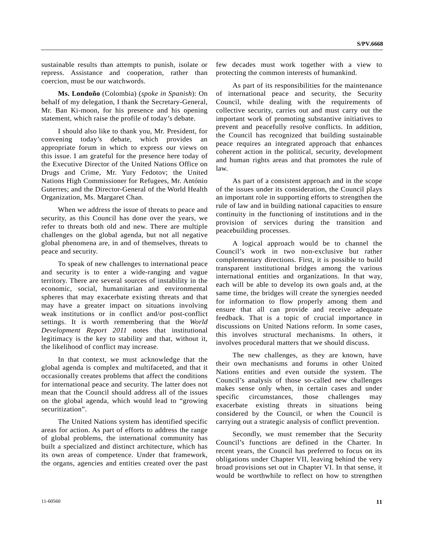sustainable results than attempts to punish, isolate or repress. Assistance and cooperation, rather than coercion, must be our watchwords.

**Ms. Londoño** (Colombia) (*spoke in Spanish*): On behalf of my delegation, I thank the Secretary-General, Mr. Ban Ki-moon, for his presence and his opening statement, which raise the profile of today's debate.

 I should also like to thank you, Mr. President, for convening today's debate, which provides an appropriate forum in which to express our views on this issue. I am grateful for the presence here today of the Executive Director of the United Nations Office on Drugs and Crime, Mr. Yury Fedotov; the United Nations High Commissioner for Refugees, Mr. António Guterres; and the Director-General of the World Health Organization, Ms. Margaret Chan.

 When we address the issue of threats to peace and security, as this Council has done over the years, we refer to threats both old and new. There are multiple challenges on the global agenda, but not all negative global phenomena are, in and of themselves, threats to peace and security.

 To speak of new challenges to international peace and security is to enter a wide-ranging and vague territory. There are several sources of instability in the economic, social, humanitarian and environmental spheres that may exacerbate existing threats and that may have a greater impact on situations involving weak institutions or in conflict and/or post-conflict settings. It is worth remembering that the *World Development Report 2011* notes that institutional legitimacy is the key to stability and that, without it, the likelihood of conflict may increase.

 In that context, we must acknowledge that the global agenda is complex and multifaceted, and that it occasionally creates problems that affect the conditions for international peace and security. The latter does not mean that the Council should address all of the issues on the global agenda, which would lead to "growing securitization".

 The United Nations system has identified specific areas for action. As part of efforts to address the range of global problems, the international community has built a specialized and distinct architecture, which has its own areas of competence. Under that framework, the organs, agencies and entities created over the past few decades must work together with a view to protecting the common interests of humankind.

 As part of its responsibilities for the maintenance of international peace and security, the Security Council, while dealing with the requirements of collective security, carries out and must carry out the important work of promoting substantive initiatives to prevent and peacefully resolve conflicts. In addition, the Council has recognized that building sustainable peace requires an integrated approach that enhances coherent action in the political, security, development and human rights areas and that promotes the rule of law.

 As part of a consistent approach and in the scope of the issues under its consideration, the Council plays an important role in supporting efforts to strengthen the rule of law and in building national capacities to ensure continuity in the functioning of institutions and in the provision of services during the transition and peacebuilding processes.

 A logical approach would be to channel the Council's work in two non-exclusive but rather complementary directions. First, it is possible to build transparent institutional bridges among the various international entities and organizations. In that way, each will be able to develop its own goals and, at the same time, the bridges will create the synergies needed for information to flow properly among them and ensure that all can provide and receive adequate feedback. That is a topic of crucial importance in discussions on United Nations reform. In some cases, this involves structural mechanisms. In others, it involves procedural matters that we should discuss.

 The new challenges, as they are known, have their own mechanisms and forums in other United Nations entities and even outside the system. The Council's analysis of those so-called new challenges makes sense only when, in certain cases and under specific circumstances, those challenges may exacerbate existing threats in situations being considered by the Council, or when the Council is carrying out a strategic analysis of conflict prevention.

 Secondly, we must remember that the Security Council's functions are defined in the Charter. In recent years, the Council has preferred to focus on its obligations under Chapter VII, leaving behind the very broad provisions set out in Chapter VI. In that sense, it would be worthwhile to reflect on how to strengthen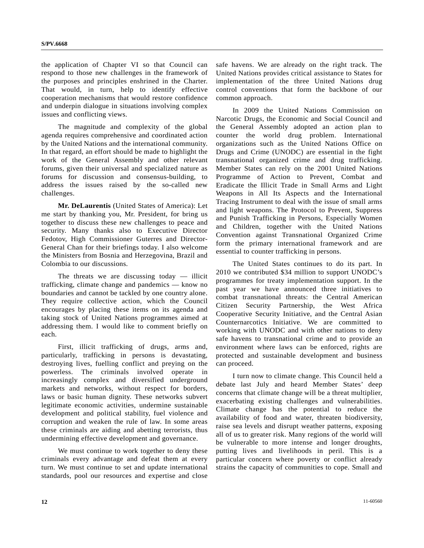the application of Chapter VI so that Council can respond to those new challenges in the framework of the purposes and principles enshrined in the Charter. That would, in turn, help to identify effective cooperation mechanisms that would restore confidence and underpin dialogue in situations involving complex issues and conflicting views.

 The magnitude and complexity of the global agenda requires comprehensive and coordinated action by the United Nations and the international community. In that regard, an effort should be made to highlight the work of the General Assembly and other relevant forums, given their universal and specialized nature as forums for discussion and consensus-building, to address the issues raised by the so-called new challenges.

**Mr. DeLaurentis** (United States of America): Let me start by thanking you, Mr. President, for bring us together to discuss these new challenges to peace and security. Many thanks also to Executive Director Fedotov, High Commissioner Guterres and Director-General Chan for their briefings today. I also welcome the Ministers from Bosnia and Herzegovina, Brazil and Colombia to our discussions.

The threats we are discussing today  $-$  illicit trafficking, climate change and pandemics — know no boundaries and cannot be tackled by one country alone. They require collective action, which the Council encourages by placing these items on its agenda and taking stock of United Nations programmes aimed at addressing them. I would like to comment briefly on each.

 First, illicit trafficking of drugs, arms and, particularly, trafficking in persons is devastating, destroying lives, fuelling conflict and preying on the powerless. The criminals involved operate in increasingly complex and diversified underground markets and networks, without respect for borders, laws or basic human dignity. These networks subvert legitimate economic activities, undermine sustainable development and political stability, fuel violence and corruption and weaken the rule of law. In some areas these criminals are aiding and abetting terrorists, thus undermining effective development and governance.

 We must continue to work together to deny these criminals every advantage and defeat them at every turn. We must continue to set and update international standards, pool our resources and expertise and close

safe havens. We are already on the right track. The United Nations provides critical assistance to States for implementation of the three United Nations drug control conventions that form the backbone of our common approach.

 In 2009 the United Nations Commission on Narcotic Drugs, the Economic and Social Council and the General Assembly adopted an action plan to counter the world drug problem. International organizations such as the United Nations Office on Drugs and Crime (UNODC) are essential in the fight transnational organized crime and drug trafficking. Member States can rely on the 2001 United Nations Programme of Action to Prevent, Combat and Eradicate the Illicit Trade in Small Arms and Light Weapons in All Its Aspects and the International Tracing Instrument to deal with the issue of small arms and light weapons. The Protocol to Prevent, Suppress and Punish Trafficking in Persons, Especially Women and Children, together with the United Nations Convention against Transnational Organized Crime form the primary international framework and are essential to counter trafficking in persons.

 The United States continues to do its part. In 2010 we contributed \$34 million to support UNODC's programmes for treaty implementation support. In the past year we have announced three initiatives to combat transnational threats: the Central American Citizen Security Partnership, the West Africa Cooperative Security Initiative, and the Central Asian Counternarcotics Initiative. We are committed to working with UNODC and with other nations to deny safe havens to transnational crime and to provide an environment where laws can be enforced, rights are protected and sustainable development and business can proceed.

 I turn now to climate change. This Council held a debate last July and heard Member States' deep concerns that climate change will be a threat multiplier, exacerbating existing challenges and vulnerabilities. Climate change has the potential to reduce the availability of food and water, threaten biodiversity, raise sea levels and disrupt weather patterns, exposing all of us to greater risk. Many regions of the world will be vulnerable to more intense and longer droughts, putting lives and livelihoods in peril. This is a particular concern where poverty or conflict already strains the capacity of communities to cope. Small and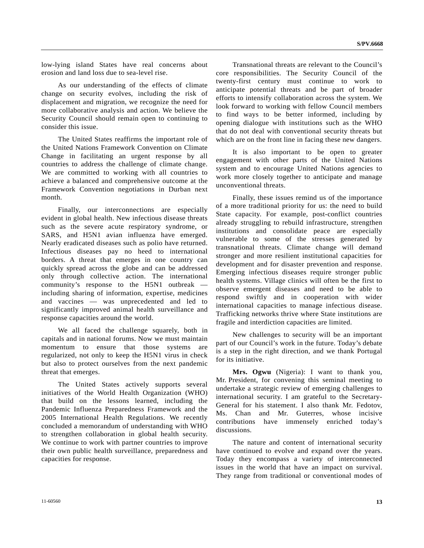low-lying island States have real concerns about erosion and land loss due to sea-level rise.

 As our understanding of the effects of climate change on security evolves, including the risk of displacement and migration, we recognize the need for more collaborative analysis and action. We believe the Security Council should remain open to continuing to consider this issue.

 The United States reaffirms the important role of the United Nations Framework Convention on Climate Change in facilitating an urgent response by all countries to address the challenge of climate change. We are committed to working with all countries to achieve a balanced and comprehensive outcome at the Framework Convention negotiations in Durban next month.

 Finally, our interconnections are especially evident in global health. New infectious disease threats such as the severe acute respiratory syndrome, or SARS, and H5N1 avian influenza have emerged. Nearly eradicated diseases such as polio have returned. Infectious diseases pay no heed to international borders. A threat that emerges in one country can quickly spread across the globe and can be addressed only through collective action. The international community's response to the H5N1 outbreak including sharing of information, expertise, medicines and vaccines — was unprecedented and led to significantly improved animal health surveillance and response capacities around the world.

 We all faced the challenge squarely, both in capitals and in national forums. Now we must maintain momentum to ensure that those systems are regularized, not only to keep the H5N1 virus in check but also to protect ourselves from the next pandemic threat that emerges.

 The United States actively supports several initiatives of the World Health Organization (WHO) that build on the lessons learned, including the Pandemic Influenza Preparedness Framework and the 2005 International Health Regulations. We recently concluded a memorandum of understanding with WHO to strengthen collaboration in global health security. We continue to work with partner countries to improve their own public health surveillance, preparedness and capacities for response.

 Transnational threats are relevant to the Council's core responsibilities. The Security Council of the twenty-first century must continue to work to anticipate potential threats and be part of broader efforts to intensify collaboration across the system. We look forward to working with fellow Council members to find ways to be better informed, including by opening dialogue with institutions such as the WHO that do not deal with conventional security threats but which are on the front line in facing these new dangers.

 It is also important to be open to greater engagement with other parts of the United Nations system and to encourage United Nations agencies to work more closely together to anticipate and manage unconventional threats.

 Finally, these issues remind us of the importance of a more traditional priority for us: the need to build State capacity. For example, post-conflict countries already struggling to rebuild infrastructure, strengthen institutions and consolidate peace are especially vulnerable to some of the stresses generated by transnational threats. Climate change will demand stronger and more resilient institutional capacities for development and for disaster prevention and response. Emerging infectious diseases require stronger public health systems. Village clinics will often be the first to observe emergent diseases and need to be able to respond swiftly and in cooperation with wider international capacities to manage infectious disease. Trafficking networks thrive where State institutions are fragile and interdiction capacities are limited.

 New challenges to security will be an important part of our Council's work in the future. Today's debate is a step in the right direction, and we thank Portugal for its initiative.

**Mrs. Ogwu** (Nigeria): I want to thank you, Mr. President, for convening this seminal meeting to undertake a strategic review of emerging challenges to international security. I am grateful to the Secretary-General for his statement. I also thank Mr. Fedotov, Ms. Chan and Mr. Guterres, whose incisive contributions have immensely enriched today's discussions.

 The nature and content of international security have continued to evolve and expand over the years. Today they encompass a variety of interconnected issues in the world that have an impact on survival. They range from traditional or conventional modes of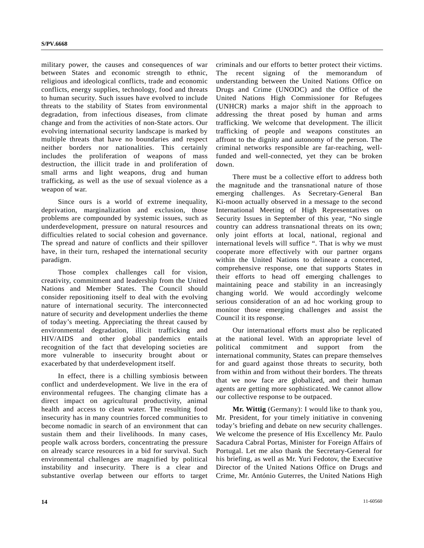military power, the causes and consequences of war between States and economic strength to ethnic, religious and ideological conflicts, trade and economic conflicts, energy supplies, technology, food and threats to human security. Such issues have evolved to include threats to the stability of States from environmental degradation, from infectious diseases, from climate change and from the activities of non-State actors. Our evolving international security landscape is marked by multiple threats that have no boundaries and respect neither borders nor nationalities. This certainly includes the proliferation of weapons of mass destruction, the illicit trade in and proliferation of small arms and light weapons, drug and human trafficking, as well as the use of sexual violence as a weapon of war.

 Since ours is a world of extreme inequality, deprivation, marginalization and exclusion, those problems are compounded by systemic issues, such as underdevelopment, pressure on natural resources and difficulties related to social cohesion and governance. The spread and nature of conflicts and their spillover have, in their turn, reshaped the international security paradigm.

 Those complex challenges call for vision, creativity, commitment and leadership from the United Nations and Member States. The Council should consider repositioning itself to deal with the evolving nature of international security. The interconnected nature of security and development underlies the theme of today's meeting. Appreciating the threat caused by environmental degradation, illicit trafficking and HIV/AIDS and other global pandemics entails recognition of the fact that developing societies are more vulnerable to insecurity brought about or exacerbated by that underdevelopment itself.

 In effect, there is a chilling symbiosis between conflict and underdevelopment. We live in the era of environmental refugees. The changing climate has a direct impact on agricultural productivity, animal health and access to clean water. The resulting food insecurity has in many countries forced communities to become nomadic in search of an environment that can sustain them and their livelihoods. In many cases, people walk across borders, concentrating the pressure on already scarce resources in a bid for survival. Such environmental challenges are magnified by political instability and insecurity. There is a clear and substantive overlap between our efforts to target

criminals and our efforts to better protect their victims. The recent signing of the memorandum of understanding between the United Nations Office on Drugs and Crime (UNODC) and the Office of the United Nations High Commissioner for Refugees (UNHCR) marks a major shift in the approach to addressing the threat posed by human and arms trafficking. We welcome that development. The illicit trafficking of people and weapons constitutes an affront to the dignity and autonomy of the person. The criminal networks responsible are far-reaching, wellfunded and well-connected, yet they can be broken down.

 There must be a collective effort to address both the magnitude and the transnational nature of those emerging challenges. As Secretary-General Ban Ki-moon actually observed in a message to the second International Meeting of High Representatives on Security Issues in September of this year, "No single country can address transnational threats on its own; only joint efforts at local, national, regional and international levels will suffice ". That is why we must cooperate more effectively with our partner organs within the United Nations to delineate a concerted, comprehensive response, one that supports States in their efforts to head off emerging challenges to maintaining peace and stability in an increasingly changing world. We would accordingly welcome serious consideration of an ad hoc working group to monitor those emerging challenges and assist the Council it its response.

 Our international efforts must also be replicated at the national level. With an appropriate level of political commitment and support from the international community, States can prepare themselves for and guard against those threats to security, both from within and from without their borders. The threats that we now face are globalized, and their human agents are getting more sophisticated. We cannot allow our collective response to be outpaced.

**Mr. Wittig** (Germany): I would like to thank you, Mr. President, for your timely initiative in convening today's briefing and debate on new security challenges. We welcome the presence of His Excellency Mr. Paulo Sacadura Cabral Portas, Minister for Foreign Affairs of Portugal. Let me also thank the Secretary-General for his briefing, as well as Mr. Yuri Fedotov, the Executive Director of the United Nations Office on Drugs and Crime, Mr. António Guterres, the United Nations High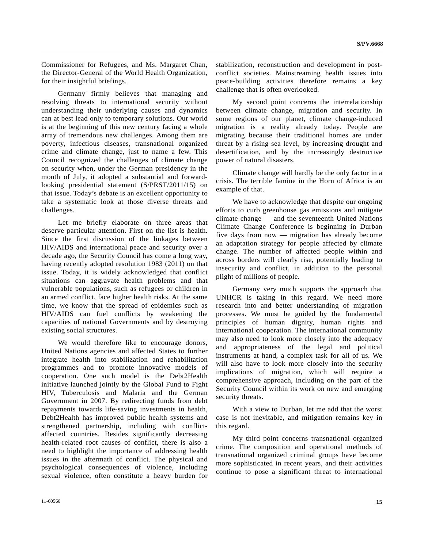Commissioner for Refugees, and Ms. Margaret Chan, the Director-General of the World Health Organization, for their insightful briefings.

 Germany firmly believes that managing and resolving threats to international security without understanding their underlying causes and dynamics can at best lead only to temporary solutions. Our world is at the beginning of this new century facing a whole array of tremendous new challenges. Among them are poverty, infectious diseases, transnational organized crime and climate change, just to name a few. This Council recognized the challenges of climate change on security when, under the German presidency in the month of July, it adopted a substantial and forwardlooking presidential statement (S/PRST/2011/15) on that issue. Today's debate is an excellent opportunity to take a systematic look at those diverse threats and challenges.

 Let me briefly elaborate on three areas that deserve particular attention. First on the list is health. Since the first discussion of the linkages between HIV/AIDS and international peace and security over a decade ago, the Security Council has come a long way, having recently adopted resolution 1983 (2011) on that issue. Today, it is widely acknowledged that conflict situations can aggravate health problems and that vulnerable populations, such as refugees or children in an armed conflict, face higher health risks. At the same time, we know that the spread of epidemics such as HIV/AIDS can fuel conflicts by weakening the capacities of national Governments and by destroying existing social structures.

 We would therefore like to encourage donors, United Nations agencies and affected States to further integrate health into stabilization and rehabilitation programmes and to promote innovative models of cooperation. One such model is the Debt2Health initiative launched jointly by the Global Fund to Fight HIV, Tuberculosis and Malaria and the German Government in 2007. By redirecting funds from debt repayments towards life-saving investments in health, Debt2Health has improved public health systems and strengthened partnership, including with conflictaffected countries. Besides significantly decreasing health-related root causes of conflict, there is also a need to highlight the importance of addressing health issues in the aftermath of conflict. The physical and psychological consequences of violence, including sexual violence, often constitute a heavy burden for

stabilization, reconstruction and development in postconflict societies. Mainstreaming health issues into peace-building activities therefore remains a key challenge that is often overlooked.

 My second point concerns the interrelationship between climate change, migration and security. In some regions of our planet, climate change-induced migration is a reality already today. People are migrating because their traditional homes are under threat by a rising sea level, by increasing drought and desertification, and by the increasingly destructive power of natural disasters.

 Climate change will hardly be the only factor in a crisis. The terrible famine in the Horn of Africa is an example of that.

 We have to acknowledge that despite our ongoing efforts to curb greenhouse gas emissions and mitigate climate change — and the seventeenth United Nations Climate Change Conference is beginning in Durban five days from now — migration has already become an adaptation strategy for people affected by climate change. The number of affected people within and across borders will clearly rise, potentially leading to insecurity and conflict, in addition to the personal plight of millions of people.

 Germany very much supports the approach that UNHCR is taking in this regard. We need more research into and better understanding of migration processes. We must be guided by the fundamental principles of human dignity, human rights and international cooperation. The international community may also need to look more closely into the adequacy and appropriateness of the legal and political instruments at hand, a complex task for all of us. We will also have to look more closely into the security implications of migration, which will require a comprehensive approach, including on the part of the Security Council within its work on new and emerging security threats.

 With a view to Durban, let me add that the worst case is not inevitable, and mitigation remains key in this regard.

 My third point concerns transnational organized crime. The composition and operational methods of transnational organized criminal groups have become more sophisticated in recent years, and their activities continue to pose a significant threat to international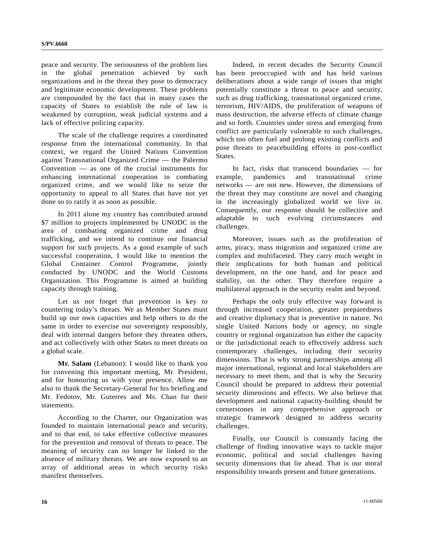peace and security. The seriousness of the problem lies in the global penetration achieved by such organizations and in the threat they pose to democracy and legitimate economic development. These problems are compounded by the fact that in many cases the capacity of States to establish the rule of law is weakened by corruption, weak judicial systems and a lack of effective policing capacity.

 The scale of the challenge requires a coordinated response from the international community. In that context, we regard the United Nations Convention against Transnational Organized Crime — the Palermo Convention — as one of the crucial instruments for enhancing international cooperation in combating organized crime, and we would like to seize the opportunity to appeal to all States that have not yet done so to ratify it as soon as possible.

 In 2011 alone my country has contributed around \$7 million to projects implemented by UNODC in the area of combating organized crime and drug trafficking, and we intend to continue our financial support for such projects. As a good example of such successful cooperation, I would like to mention the Global Container Control Programme, jointly conducted by UNODC and the World Customs Organization. This Programme is aimed at building capacity through training.

 Let us not forget that prevention is key to countering today's threats. We as Member States must build up our own capacities and help others to do the same in order to exercise our sovereignty responsibly, deal with internal dangers before they threaten others, and act collectively with other States to meet threats on a global scale.

**Mr. Salam** (Lebanon): I would like to thank you for convening this important meeting, Mr. President, and for honouring us with your presence. Allow me also to thank the Secretary-General for his briefing and Mr. Fedotov, Mr. Guterres and Ms. Chan for their statements.

 According to the Charter, our Organization was founded to maintain international peace and security, and to that end, to take effective collective measures for the prevention and removal of threats to peace. The meaning of security can no longer be linked to the absence of military threats. We are now exposed to an array of additional areas in which security risks manifest themselves.

 Indeed, in recent decades the Security Council has been preoccupied with and has held various deliberations about a wide range of issues that might potentially constitute a threat to peace and security, such as drug trafficking, transnational organized crime, terrorism, HIV/AIDS, the proliferation of weapons of mass destruction, the adverse effects of climate change and so forth. Countries under stress and emerging from conflict are particularly vulnerable to such challenges, which too often fuel and prolong existing conflicts and pose threats to peacebuilding efforts in post-conflict States.

 In fact, risks that transcend boundaries — for example, pandemics and transnational crime networks — are not new. However, the dimensions of the threat they may constitute are novel and changing in the increasingly globalized world we live in. Consequently, our response should be collective and adaptable to such evolving circumstances and challenges.

 Moreover, issues such as the proliferation of arms, piracy, mass migration and organized crime are complex and multifaceted. They carry much weight in their implications for both human and political development, on the one hand, and for peace and stability, on the other. They therefore require a multilateral approach in the security realm and beyond.

 Perhaps the only truly effective way forward is through increased cooperation, greater preparedness and creative diplomacy that is preventive in nature. No single United Nations body or agency, no single country or regional organization has either the capacity or the jurisdictional reach to effectively address such contemporary challenges, including their security dimensions. That is why strong partnerships among all major international, regional and local stakeholders are necessary to meet them, and that is why the Security Council should be prepared to address their potential security dimensions and effects. We also believe that development and national capacity-building should be cornerstones in any comprehensive approach or strategic framework designed to address security challenges.

 Finally, our Council is constantly facing the challenge of finding innovative ways to tackle major economic, political and social challenges having security dimensions that lie ahead. That is our moral responsibility towards present and future generations.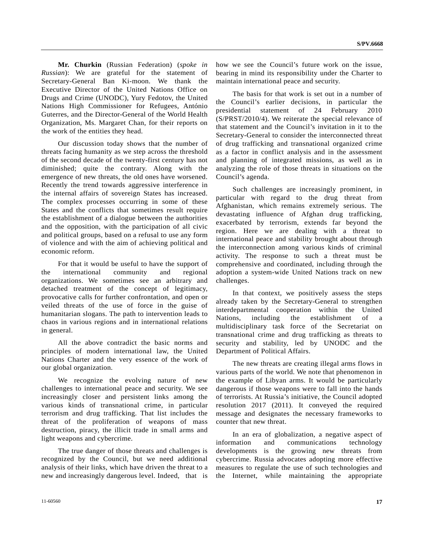**Mr. Churkin** (Russian Federation) (*spoke in Russian*): We are grateful for the statement of Secretary-General Ban Ki-moon. We thank the Executive Director of the United Nations Office on Drugs and Crime (UNODC), Yury Fedotov, the United Nations High Commissioner for Refugees, António Guterres, and the Director-General of the World Health Organization, Ms. Margaret Chan, for their reports on the work of the entities they head.

 Our discussion today shows that the number of threats facing humanity as we step across the threshold of the second decade of the twenty-first century has not diminished; quite the contrary. Along with the emergence of new threats, the old ones have worsened. Recently the trend towards aggressive interference in the internal affairs of sovereign States has increased. The complex processes occurring in some of these States and the conflicts that sometimes result require the establishment of a dialogue between the authorities and the opposition, with the participation of all civic and political groups, based on a refusal to use any form of violence and with the aim of achieving political and economic reform.

 For that it would be useful to have the support of the international community and regional organizations. We sometimes see an arbitrary and detached treatment of the concept of legitimacy, provocative calls for further confrontation, and open or veiled threats of the use of force in the guise of humanitarian slogans. The path to intervention leads to chaos in various regions and in international relations in general.

 All the above contradict the basic norms and principles of modern international law, the United Nations Charter and the very essence of the work of our global organization.

 We recognize the evolving nature of new challenges to international peace and security. We see increasingly closer and persistent links among the various kinds of transnational crime, in particular terrorism and drug trafficking. That list includes the threat of the proliferation of weapons of mass destruction, piracy, the illicit trade in small arms and light weapons and cybercrime.

 The true danger of those threats and challenges is recognized by the Council, but we need additional analysis of their links, which have driven the threat to a new and increasingly dangerous level. Indeed, that is

how we see the Council's future work on the issue, bearing in mind its responsibility under the Charter to maintain international peace and security.

 The basis for that work is set out in a number of the Council's earlier decisions, in particular the presidential statement of 24 February 2010 (S/PRST/2010/4). We reiterate the special relevance of that statement and the Council's invitation in it to the Secretary-General to consider the interconnected threat of drug trafficking and transnational organized crime as a factor in conflict analysis and in the assessment and planning of integrated missions, as well as in analyzing the role of those threats in situations on the Council's agenda.

 Such challenges are increasingly prominent, in particular with regard to the drug threat from Afghanistan, which remains extremely serious. The devastating influence of Afghan drug trafficking, exacerbated by terrorism, extends far beyond the region. Here we are dealing with a threat to international peace and stability brought about through the interconnection among various kinds of criminal activity. The response to such a threat must be comprehensive and coordinated, including through the adoption a system-wide United Nations track on new challenges.

 In that context, we positively assess the steps already taken by the Secretary-General to strengthen interdepartmental cooperation within the United Nations, including the establishment of a multidisciplinary task force of the Secretariat on transnational crime and drug trafficking as threats to security and stability, led by UNODC and the Department of Political Affairs.

 The new threats are creating illegal arms flows in various parts of the world. We note that phenomenon in the example of Libyan arms. It would be particularly dangerous if those weapons were to fall into the hands of terrorists. At Russia's initiative, the Council adopted resolution 2017 (2011). It conveyed the required message and designates the necessary frameworks to counter that new threat.

 In an era of globalization, a negative aspect of information and communications technology developments is the growing new threats from cybercrime. Russia advocates adopting more effective measures to regulate the use of such technologies and the Internet, while maintaining the appropriate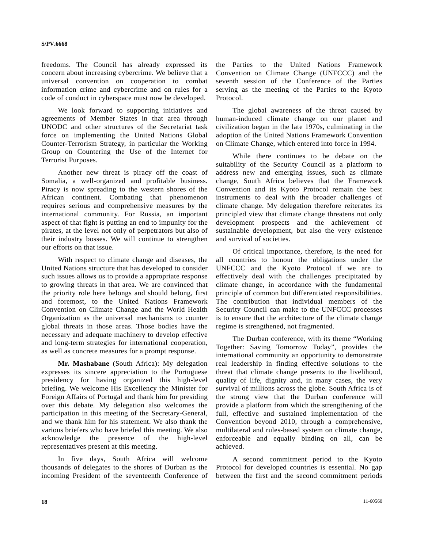freedoms. The Council has already expressed its concern about increasing cybercrime. We believe that a universal convention on cooperation to combat information crime and cybercrime and on rules for a code of conduct in cyberspace must now be developed.

 We look forward to supporting initiatives and agreements of Member States in that area through UNODC and other structures of the Secretariat task force on implementing the United Nations Global Counter-Terrorism Strategy, in particular the Working Group on Countering the Use of the Internet for Terrorist Purposes.

 Another new threat is piracy off the coast of Somalia, a well-organized and profitable business. Piracy is now spreading to the western shores of the African continent. Combating that phenomenon requires serious and comprehensive measures by the international community. For Russia, an important aspect of that fight is putting an end to impunity for the pirates, at the level not only of perpetrators but also of their industry bosses. We will continue to strengthen our efforts on that issue.

 With respect to climate change and diseases, the United Nations structure that has developed to consider such issues allows us to provide a appropriate response to growing threats in that area. We are convinced that the priority role here belongs and should belong, first and foremost, to the United Nations Framework Convention on Climate Change and the World Health Organization as the universal mechanisms to counter global threats in those areas. Those bodies have the necessary and adequate machinery to develop effective and long-term strategies for international cooperation, as well as concrete measures for a prompt response.

**Mr. Mashabane** (South Africa): My delegation expresses its sincere appreciation to the Portuguese presidency for having organized this high-level briefing. We welcome His Excellency the Minister for Foreign Affairs of Portugal and thank him for presiding over this debate. My delegation also welcomes the participation in this meeting of the Secretary-General, and we thank him for his statement. We also thank the various briefers who have briefed this meeting. We also acknowledge the presence of the high-level representatives present at this meeting.

 In five days, South Africa will welcome thousands of delegates to the shores of Durban as the incoming President of the seventeenth Conference of the Parties to the United Nations Framework Convention on Climate Change (UNFCCC) and the seventh session of the Conference of the Parties serving as the meeting of the Parties to the Kyoto Protocol.

 The global awareness of the threat caused by human-induced climate change on our planet and civilization began in the late 1970s, culminating in the adoption of the United Nations Framework Convention on Climate Change, which entered into force in 1994.

 While there continues to be debate on the suitability of the Security Council as a platform to address new and emerging issues, such as climate change, South Africa believes that the Framework Convention and its Kyoto Protocol remain the best instruments to deal with the broader challenges of climate change. My delegation therefore reiterates its principled view that climate change threatens not only development prospects and the achievement of sustainable development, but also the very existence and survival of societies.

 Of critical importance, therefore, is the need for all countries to honour the obligations under the UNFCCC and the Kyoto Protocol if we are to effectively deal with the challenges precipitated by climate change, in accordance with the fundamental principle of common but differentiated responsibilities. The contribution that individual members of the Security Council can make to the UNFCCC processes is to ensure that the architecture of the climate change regime is strengthened, not fragmented.

 The Durban conference, with its theme "Working Together: Saving Tomorrow Today", provides the international community an opportunity to demonstrate real leadership in finding effective solutions to the threat that climate change presents to the livelihood, quality of life, dignity and, in many cases, the very survival of millions across the globe. South Africa is of the strong view that the Durban conference will provide a platform from which the strengthening of the full, effective and sustained implementation of the Convention beyond 2010, through a comprehensive, multilateral and rules-based system on climate change, enforceable and equally binding on all, can be achieved.

 A second commitment period to the Kyoto Protocol for developed countries is essential. No gap between the first and the second commitment periods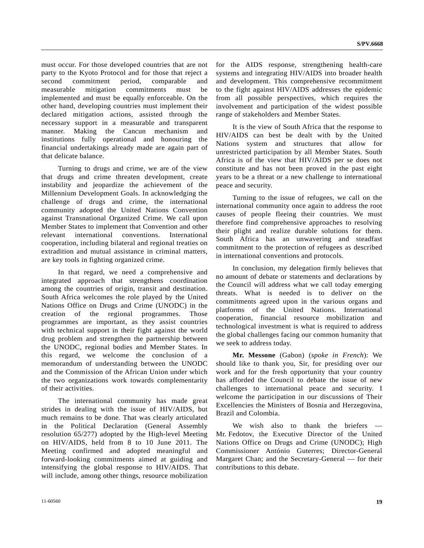must occur. For those developed countries that are not party to the Kyoto Protocol and for those that reject a second commitment period, comparable and measurable mitigation commitments must be implemented and must be equally enforceable. On the other hand, developing countries must implement their declared mitigation actions, assisted through the necessary support in a measurable and transparent manner. Making the Cancun mechanism and institutions fully operational and honouring the financial undertakings already made are again part of that delicate balance.

 Turning to drugs and crime, we are of the view that drugs and crime threaten development, create instability and jeopardize the achievement of the Millennium Development Goals. In acknowledging the challenge of drugs and crime, the international community adopted the United Nations Convention against Transnational Organized Crime. We call upon Member States to implement that Convention and other relevant international conventions. International cooperation, including bilateral and regional treaties on extradition and mutual assistance in criminal matters, are key tools in fighting organized crime.

 In that regard, we need a comprehensive and integrated approach that strengthens coordination among the countries of origin, transit and destination. South Africa welcomes the role played by the United Nations Office on Drugs and Crime (UNODC) in the creation of the regional programmes. Those programmes are important, as they assist countries with technical support in their fight against the world drug problem and strengthen the partnership between the UNODC, regional bodies and Member States. In this regard, we welcome the conclusion of a memorandum of understanding between the UNODC and the Commission of the African Union under which the two organizations work towards complementarity of their activities.

 The international community has made great strides in dealing with the issue of HIV/AIDS, but much remains to be done. That was clearly articulated in the Political Declaration (General Assembly resolution 65/277) adopted by the High-level Meeting on HIV/AIDS, held from 8 to 10 June 2011. The Meeting confirmed and adopted meaningful and forward-looking commitments aimed at guiding and intensifying the global response to HIV/AIDS. That will include, among other things, resource mobilization for the AIDS response, strengthening health-care systems and integrating HIV/AIDS into broader health and development. This comprehensive recommitment to the fight against HIV/AIDS addresses the epidemic from all possible perspectives, which requires the involvement and participation of the widest possible range of stakeholders and Member States.

 It is the view of South Africa that the response to HIV/AIDS can best be dealt with by the United Nations system and structures that allow for unrestricted participation by all Member States. South Africa is of the view that HIV/AIDS per se does not constitute and has not been proved in the past eight years to be a threat or a new challenge to international peace and security.

 Turning to the issue of refugees, we call on the international community once again to address the root causes of people fleeing their countries. We must therefore find comprehensive approaches to resolving their plight and realize durable solutions for them. South Africa has an unwavering and steadfast commitment to the protection of refugees as described in international conventions and protocols.

 In conclusion, my delegation firmly believes that no amount of debate or statements and declarations by the Council will address what we call today emerging threats. What is needed is to deliver on the commitments agreed upon in the various organs and platforms of the United Nations. International cooperation, financial resource mobilization and technological investment is what is required to address the global challenges facing our common humanity that we seek to address today.

**Mr. Messone** (Gabon) (*spoke in French*): We should like to thank you, Sir, for presiding over our work and for the fresh opportunity that your country has afforded the Council to debate the issue of new challenges to international peace and security. I welcome the participation in our discussions of Their Excellencies the Ministers of Bosnia and Herzegovina, Brazil and Colombia.

We wish also to thank the briefers Mr. Fedotov, the Executive Director of the United Nations Office on Drugs and Crime (UNODC); High Commissioner António Guterres; Director-General Margaret Chan; and the Secretary-General — for their contributions to this debate.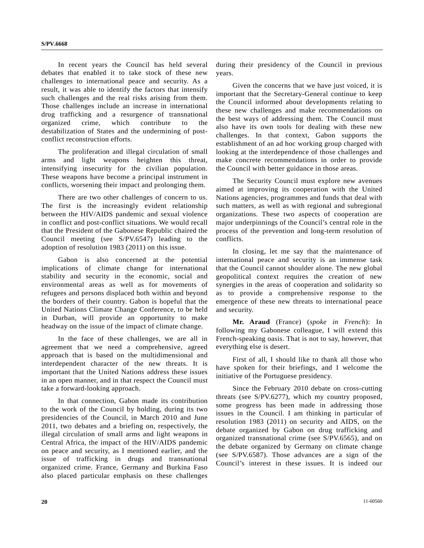In recent years the Council has held several debates that enabled it to take stock of these new challenges to international peace and security. As a result, it was able to identify the factors that intensify such challenges and the real risks arising from them. Those challenges include an increase in international drug trafficking and a resurgence of transnational organized crime, which contribute to the destabilization of States and the undermining of postconflict reconstruction efforts.

 The proliferation and illegal circulation of small arms and light weapons heighten this threat, intensifying insecurity for the civilian population. These weapons have become a principal instrument in conflicts, worsening their impact and prolonging them.

 There are two other challenges of concern to us. The first is the increasingly evident relationship between the HIV/AIDS pandemic and sexual violence in conflict and post-conflict situations. We would recall that the President of the Gabonese Republic chaired the Council meeting (see S/PV.6547) leading to the adoption of resolution 1983 (2011) on this issue.

 Gabon is also concerned at the potential implications of climate change for international stability and security in the economic, social and environmental areas as well as for movements of refugees and persons displaced both within and beyond the borders of their country. Gabon is hopeful that the United Nations Climate Change Conference, to be held in Durban, will provide an opportunity to make headway on the issue of the impact of climate change.

 In the face of these challenges, we are all in agreement that we need a comprehensive, agreed approach that is based on the multidimensional and interdependent character of the new threats. It is important that the United Nations address these issues in an open manner, and in that respect the Council must take a forward-looking approach.

 In that connection, Gabon made its contribution to the work of the Council by holding, during its two presidencies of the Council, in March 2010 and June 2011, two debates and a briefing on, respectively, the illegal circulation of small arms and light weapons in Central Africa, the impact of the HIV/AIDS pandemic on peace and security, as I mentioned earlier, and the issue of trafficking in drugs and transnational organized crime. France, Germany and Burkina Faso also placed particular emphasis on these challenges during their presidency of the Council in previous years.

 Given the concerns that we have just voiced, it is important that the Secretary-General continue to keep the Council informed about developments relating to these new challenges and make recommendations on the best ways of addressing them. The Council must also have its own tools for dealing with these new challenges. In that context, Gabon supports the establishment of an ad hoc working group charged with looking at the interdependence of those challenges and make concrete recommendations in order to provide the Council with better guidance in those areas.

 The Security Council must explore new avenues aimed at improving its cooperation with the United Nations agencies, programmes and funds that deal with such matters, as well as with regional and subregional organizations. These two aspects of cooperation are major underpinnings of the Council's central role in the process of the prevention and long-term resolution of conflicts.

 In closing, let me say that the maintenance of international peace and security is an immense task that the Council cannot shoulder alone. The new global geopolitical context requires the creation of new synergies in the areas of cooperation and solidarity so as to provide a comprehensive response to the emergence of these new threats to international peace and security.

**Mr. Araud** (France) (*spoke in French*): In following my Gabonese colleague, I will extend this French-speaking oasis. That is not to say, however, that everything else is desert.

 First of all, I should like to thank all those who have spoken for their briefings, and I welcome the initiative of the Portuguese presidency.

 Since the February 2010 debate on cross-cutting threats (see S/PV.6277), which my country proposed, some progress has been made in addressing those issues in the Council. I am thinking in particular of resolution 1983 (2011) on security and AIDS, on the debate organized by Gabon on drug trafficking and organized transnational crime (see S/PV.6565), and on the debate organized by Germany on climate change (see S/PV.6587). Those advances are a sign of the Council's interest in these issues. It is indeed our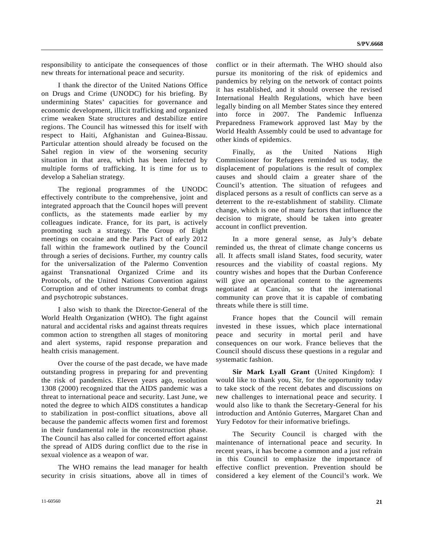responsibility to anticipate the consequences of those new threats for international peace and security.

 I thank the director of the United Nations Office on Drugs and Crime (UNODC) for his briefing. By undermining States' capacities for governance and economic development, illicit trafficking and organized crime weaken State structures and destabilize entire regions. The Council has witnessed this for itself with respect to Haiti, Afghanistan and Guinea-Bissau. Particular attention should already be focused on the Sahel region in view of the worsening security situation in that area, which has been infected by multiple forms of trafficking. It is time for us to develop a Sahelian strategy.

 The regional programmes of the UNODC effectively contribute to the comprehensive, joint and integrated approach that the Council hopes will prevent conflicts, as the statements made earlier by my colleagues indicate. France, for its part, is actively promoting such a strategy. The Group of Eight meetings on cocaine and the Paris Pact of early 2012 fall within the framework outlined by the Council through a series of decisions. Further, my country calls for the universalization of the Palermo Convention against Transnational Organized Crime and its Protocols, of the United Nations Convention against Corruption and of other instruments to combat drugs and psychotropic substances.

 I also wish to thank the Director-General of the World Health Organization (WHO). The fight against natural and accidental risks and against threats requires common action to strengthen all stages of monitoring and alert systems, rapid response preparation and health crisis management.

 Over the course of the past decade, we have made outstanding progress in preparing for and preventing the risk of pandemics. Eleven years ago, resolution 1308 (2000) recognized that the AIDS pandemic was a threat to international peace and security. Last June, we noted the degree to which AIDS constitutes a handicap to stabilization in post-conflict situations, above all because the pandemic affects women first and foremost in their fundamental role in the reconstruction phase. The Council has also called for concerted effort against the spread of AIDS during conflict due to the rise in sexual violence as a weapon of war.

 The WHO remains the lead manager for health security in crisis situations, above all in times of conflict or in their aftermath. The WHO should also pursue its monitoring of the risk of epidemics and pandemics by relying on the network of contact points it has established, and it should oversee the revised International Health Regulations, which have been legally binding on all Member States since they entered into force in 2007. The Pandemic Influenza Preparedness Framework approved last May by the World Health Assembly could be used to advantage for other kinds of epidemics.

 Finally, as the United Nations High Commissioner for Refugees reminded us today, the displacement of populations is the result of complex causes and should claim a greater share of the Council's attention. The situation of refugees and displaced persons as a result of conflicts can serve as a deterrent to the re-establishment of stability. Climate change, which is one of many factors that influence the decision to migrate, should be taken into greater account in conflict prevention.

 In a more general sense, as July's debate reminded us, the threat of climate change concerns us all. It affects small island States, food security, water resources and the viability of coastal regions. My country wishes and hopes that the Durban Conference will give an operational content to the agreements negotiated at Cancún, so that the international community can prove that it is capable of combating threats while there is still time.

 France hopes that the Council will remain invested in these issues, which place international peace and security in mortal peril and have consequences on our work. France believes that the Council should discuss these questions in a regular and systematic fashion.

**Sir Mark Lyall Grant** (United Kingdom): I would like to thank you, Sir, for the opportunity today to take stock of the recent debates and discussions on new challenges to international peace and security. I would also like to thank the Secretary-General for his introduction and António Guterres, Margaret Chan and Yury Fedotov for their informative briefings.

 The Security Council is charged with the maintenance of international peace and security. In recent years, it has become a common and a just refrain in this Council to emphasize the importance of effective conflict prevention. Prevention should be considered a key element of the Council's work. We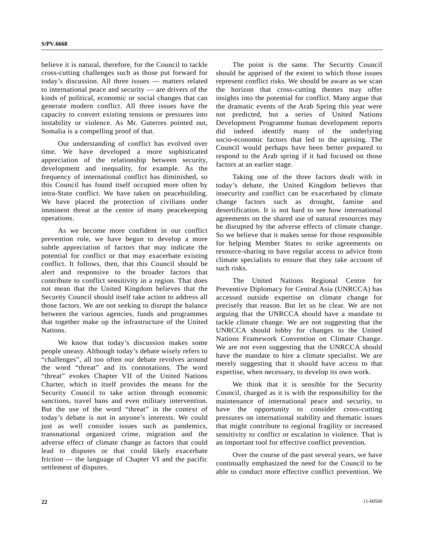believe it is natural, therefore, for the Council to tackle cross-cutting challenges such as those put forward for today's discussion. All three issues — matters related to international peace and security — are drivers of the kinds of political, economic or social changes that can generate modern conflict. All three issues have the capacity to convert existing tensions or pressures into instability or violence. As Mr. Guterres pointed out, Somalia is a compelling proof of that.

 Our understanding of conflict has evolved over time. We have developed a more sophisticated appreciation of the relationship between security, development and inequality, for example. As the frequency of international conflict has diminished, so this Council has found itself occupied more often by intra-State conflict. We have taken on peacebuilding. We have placed the protection of civilians under imminent threat at the centre of many peacekeeping operations.

 As we become more confident in our conflict prevention role, we have begun to develop a more subtle appreciation of factors that may indicate the potential for conflict or that may exacerbate existing conflict. It follows, then, that this Council should be alert and responsive to the broader factors that contribute to conflict sensitivity in a region. That does not mean that the United Kingdom believes that the Security Council should itself take action to address all those factors. We are not seeking to disrupt the balance between the various agencies, funds and programmes that together make up the infrastructure of the United Nations.

 We know that today's discussion makes some people uneasy. Although today's debate wisely refers to "challenges", all too often our debate revolves around the word "threat" and its connotations. The word "threat" evokes Chapter VII of the United Nations Charter, which in itself provides the means for the Security Council to take action through economic sanctions, travel bans and even military intervention. But the use of the word "threat" in the context of today's debate is not in anyone's interests. We could just as well consider issues such as pandemics, transnational organized crime, migration and the adverse effect of climate change as factors that could lead to disputes or that could likely exacerbate friction — the language of Chapter VI and the pacific settlement of disputes.

 The point is the same. The Security Council should be apprised of the extent to which those issues represent conflict risks. We should be aware as we scan the horizon that cross-cutting themes may offer insights into the potential for conflict. Many argue that the dramatic events of the Arab Spring this year were not predicted, but a series of United Nations Development Programme human development reports did indeed identify many of the underlying socio-economic factors that led to the uprising. The Council would perhaps have been better prepared to respond to the Arab spring if it had focused on those factors at an earlier stage.

 Taking one of the three factors dealt with in today's debate, the United Kingdom believes that insecurity and conflict can be exacerbated by climate change factors such as drought, famine and desertification. It is not hard to see how international agreements on the shared use of natural resources may be disrupted by the adverse effects of climate change. So we believe that it makes sense for those responsible for helping Member States to strike agreements on resource-sharing to have regular access to advice from climate specialists to ensure that they take account of such risks.

 The United Nations Regional Centre for Preventive Diplomacy for Central Asia (UNRCCA) has accessed outside expertise on climate change for precisely that reason. But let us be clear. We are not arguing that the UNRCCA should have a mandate to tackle climate change. We are not suggesting that the UNRCCA should lobby for changes to the United Nations Framework Convention on Climate Change. We are not even suggesting that the UNRCCA should have the mandate to hire a climate specialist. We are merely suggesting that it should have access to that expertise, when necessary, to develop its own work.

 We think that it is sensible for the Security Council, charged as it is with the responsibility for the maintenance of international peace and security, to have the opportunity to consider cross-cutting pressures on international stability and thematic issues that might contribute to regional fragility or increased sensitivity to conflict or escalation in violence. That is an important tool for effective conflict prevention.

 Over the course of the past several years, we have continually emphasized the need for the Council to be able to conduct more effective conflict prevention. We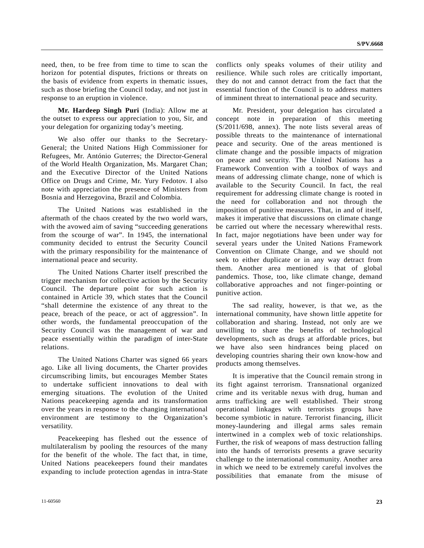need, then, to be free from time to time to scan the horizon for potential disputes, frictions or threats on the basis of evidence from experts in thematic issues, such as those briefing the Council today, and not just in response to an eruption in violence.

**Mr. Hardeep Singh Puri** (India): Allow me at the outset to express our appreciation to you, Sir, and your delegation for organizing today's meeting.

 We also offer our thanks to the Secretary-General; the United Nations High Commissioner for Refugees, Mr. António Guterres; the Director-General of the World Health Organization, Ms. Margaret Chan; and the Executive Director of the United Nations Office on Drugs and Crime, Mr. Yury Fedotov. I also note with appreciation the presence of Ministers from Bosnia and Herzegovina, Brazil and Colombia.

 The United Nations was established in the aftermath of the chaos created by the two world wars, with the avowed aim of saving "succeeding generations from the scourge of war". In 1945, the international community decided to entrust the Security Council with the primary responsibility for the maintenance of international peace and security.

 The United Nations Charter itself prescribed the trigger mechanism for collective action by the Security Council. The departure point for such action is contained in Article 39, which states that the Council "shall determine the existence of any threat to the peace, breach of the peace, or act of aggression". In other words, the fundamental preoccupation of the Security Council was the management of war and peace essentially within the paradigm of inter-State relations.

 The United Nations Charter was signed 66 years ago. Like all living documents, the Charter provides circumscribing limits, but encourages Member States to undertake sufficient innovations to deal with emerging situations. The evolution of the United Nations peacekeeping agenda and its transformation over the years in response to the changing international environment are testimony to the Organization's versatility.

 Peacekeeping has fleshed out the essence of multilateralism by pooling the resources of the many for the benefit of the whole. The fact that, in time, United Nations peacekeepers found their mandates expanding to include protection agendas in intra-State

conflicts only speaks volumes of their utility and resilience. While such roles are critically important, they do not and cannot detract from the fact that the essential function of the Council is to address matters of imminent threat to international peace and security.

 Mr. President, your delegation has circulated a concept note in preparation of this meeting (S/2011/698, annex). The note lists several areas of possible threats to the maintenance of international peace and security. One of the areas mentioned is climate change and the possible impacts of migration on peace and security. The United Nations has a Framework Convention with a toolbox of ways and means of addressing climate change, none of which is available to the Security Council. In fact, the real requirement for addressing climate change is rooted in the need for collaboration and not through the imposition of punitive measures. That, in and of itself, makes it imperative that discussions on climate change be carried out where the necessary wherewithal rests. In fact, major negotiations have been under way for several years under the United Nations Framework Convention on Climate Change, and we should not seek to either duplicate or in any way detract from them. Another area mentioned is that of global pandemics. Those, too, like climate change, demand collaborative approaches and not finger-pointing or punitive action.

 The sad reality, however, is that we, as the international community, have shown little appetite for collaboration and sharing. Instead, not only are we unwilling to share the benefits of technological developments, such as drugs at affordable prices, but we have also seen hindrances being placed on developing countries sharing their own know-how and products among themselves.

 It is imperative that the Council remain strong in its fight against terrorism. Transnational organized crime and its veritable nexus with drug, human and arms trafficking are well established. Their strong operational linkages with terrorists groups have become symbiotic in nature. Terrorist financing, illicit money-laundering and illegal arms sales remain intertwined in a complex web of toxic relationships. Further, the risk of weapons of mass destruction falling into the hands of terrorists presents a grave security challenge to the international community. Another area in which we need to be extremely careful involves the possibilities that emanate from the misuse of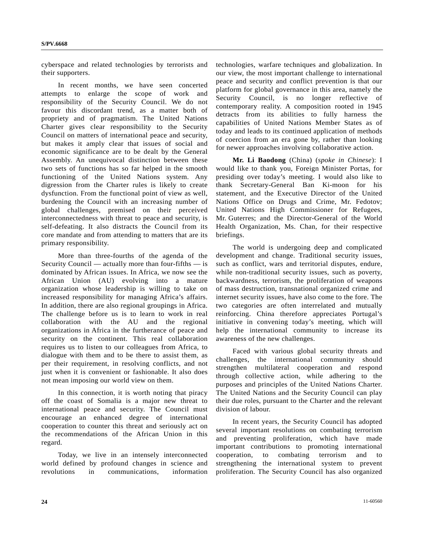cyberspace and related technologies by terrorists and their supporters.

 In recent months, we have seen concerted attempts to enlarge the scope of work and responsibility of the Security Council. We do not favour this discordant trend, as a matter both of propriety and of pragmatism. The United Nations Charter gives clear responsibility to the Security Council on matters of international peace and security, but makes it amply clear that issues of social and economic significance are to be dealt by the General Assembly. An unequivocal distinction between these two sets of functions has so far helped in the smooth functioning of the United Nations system. Any digression from the Charter rules is likely to create dysfunction. From the functional point of view as well, burdening the Council with an increasing number of global challenges, premised on their perceived interconnectedness with threat to peace and security, is self-defeating. It also distracts the Council from its core mandate and from attending to matters that are its primary responsibility.

 More than three-fourths of the agenda of the Security Council — actually more than four-fifths — is dominated by African issues. In Africa, we now see the African Union (AU) evolving into a mature organization whose leadership is willing to take on increased responsibility for managing Africa's affairs. In addition, there are also regional groupings in Africa. The challenge before us is to learn to work in real collaboration with the AU and the regional organizations in Africa in the furtherance of peace and security on the continent. This real collaboration requires us to listen to our colleagues from Africa, to dialogue with them and to be there to assist them, as per their requirement, in resolving conflicts, and not just when it is convenient or fashionable. It also does not mean imposing our world view on them.

 In this connection, it is worth noting that piracy off the coast of Somalia is a major new threat to international peace and security. The Council must encourage an enhanced degree of international cooperation to counter this threat and seriously act on the recommendations of the African Union in this regard.

 Today, we live in an intensely interconnected world defined by profound changes in science and revolutions in communications, information technologies, warfare techniques and globalization. In our view, the most important challenge to international peace and security and conflict prevention is that our platform for global governance in this area, namely the Security Council, is no longer reflective of contemporary reality. A composition rooted in 1945 detracts from its abilities to fully harness the capabilities of United Nations Member States as of today and leads to its continued application of methods of coercion from an era gone by, rather than looking for newer approaches involving collaborative action.

**Mr. Li Baodong** (China) (*spoke in Chinese*): I would like to thank you, Foreign Minister Portas, for presiding over today's meeting. I would also like to thank Secretary-General Ban Ki-moon for his statement, and the Executive Director of the United Nations Office on Drugs and Crime, Mr. Fedotov; United Nations High Commissioner for Refugees, Mr. Guterres; and the Director-General of the World Health Organization, Ms. Chan, for their respective briefings.

 The world is undergoing deep and complicated development and change. Traditional security issues, such as conflict, wars and territorial disputes, endure, while non-traditional security issues, such as poverty, backwardness, terrorism, the proliferation of weapons of mass destruction, transnational organized crime and internet security issues, have also come to the fore. The two categories are often interrelated and mutually reinforcing. China therefore appreciates Portugal's initiative in convening today's meeting, which will help the international community to increase its awareness of the new challenges.

 Faced with various global security threats and challenges, the international community should strengthen multilateral cooperation and respond through collective action, while adhering to the purposes and principles of the United Nations Charter. The United Nations and the Security Council can play their due roles, pursuant to the Charter and the relevant division of labour.

 In recent years, the Security Council has adopted several important resolutions on combating terrorism and preventing proliferation, which have made important contributions to promoting international cooperation, to combating terrorism and to strengthening the international system to prevent proliferation. The Security Council has also organized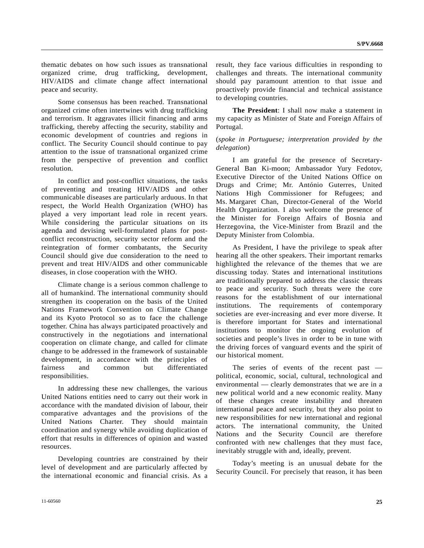thematic debates on how such issues as transnational organized crime, drug trafficking, development, HIV/AIDS and climate change affect international peace and security.

 Some consensus has been reached. Transnational organized crime often intertwines with drug trafficking and terrorism. It aggravates illicit financing and arms trafficking, thereby affecting the security, stability and economic development of countries and regions in conflict. The Security Council should continue to pay attention to the issue of transnational organized crime from the perspective of prevention and conflict resolution.

 In conflict and post-conflict situations, the tasks of preventing and treating HIV/AIDS and other communicable diseases are particularly arduous. In that respect, the World Health Organization (WHO) has played a very important lead role in recent years. While considering the particular situations on its agenda and devising well-formulated plans for postconflict reconstruction, security sector reform and the reintegration of former combatants, the Security Council should give due consideration to the need to prevent and treat HIV/AIDS and other communicable diseases, in close cooperation with the WHO.

 Climate change is a serious common challenge to all of humankind. The international community should strengthen its cooperation on the basis of the United Nations Framework Convention on Climate Change and its Kyoto Protocol so as to face the challenge together. China has always participated proactively and constructively in the negotiations and international cooperation on climate change, and called for climate change to be addressed in the framework of sustainable development, in accordance with the principles of fairness and common but differentiated responsibilities.

 In addressing these new challenges, the various United Nations entities need to carry out their work in accordance with the mandated division of labour, their comparative advantages and the provisions of the United Nations Charter. They should maintain coordination and synergy while avoiding duplication of effort that results in differences of opinion and wasted resources.

 Developing countries are constrained by their level of development and are particularly affected by the international economic and financial crisis. As a

**The President**: I shall now make a statement in my capacity as Minister of State and Foreign Affairs of Portugal.

### (*spoke in Portuguese; interpretation provided by the delegation*)

 I am grateful for the presence of Secretary-General Ban Ki-moon; Ambassador Yury Fedotov, Executive Director of the United Nations Office on Drugs and Crime; Mr. António Guterres, United Nations High Commissioner for Refugees; and Ms. Margaret Chan, Director-General of the World Health Organization. I also welcome the presence of the Minister for Foreign Affairs of Bosnia and Herzegovina, the Vice-Minister from Brazil and the Deputy Minister from Colombia.

 As President, I have the privilege to speak after hearing all the other speakers. Their important remarks highlighted the relevance of the themes that we are discussing today. States and international institutions are traditionally prepared to address the classic threats to peace and security. Such threats were the core reasons for the establishment of our international institutions. The requirements of contemporary societies are ever-increasing and ever more diverse. It is therefore important for States and international institutions to monitor the ongoing evolution of societies and people's lives in order to be in tune with the driving forces of vanguard events and the spirit of our historical moment.

 The series of events of the recent past political, economic, social, cultural, technological and environmental — clearly demonstrates that we are in a new political world and a new economic reality. Many of these changes create instability and threaten international peace and security, but they also point to new responsibilities for new international and regional actors. The international community, the United Nations and the Security Council are therefore confronted with new challenges that they must face, inevitably struggle with and, ideally, prevent.

 Today's meeting is an unusual debate for the Security Council. For precisely that reason, it has been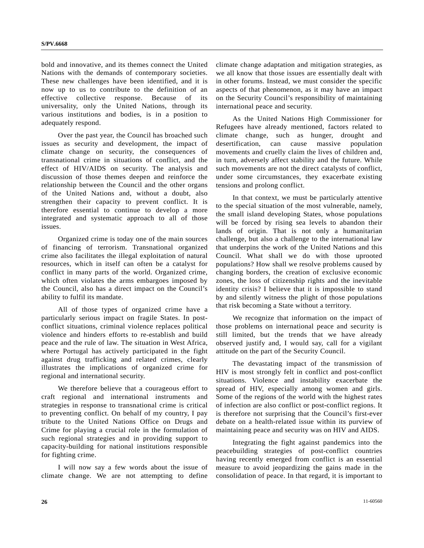bold and innovative, and its themes connect the United Nations with the demands of contemporary societies. These new challenges have been identified, and it is now up to us to contribute to the definition of an effective collective response. Because of its universality, only the United Nations, through its various institutions and bodies, is in a position to adequately respond.

 Over the past year, the Council has broached such issues as security and development, the impact of climate change on security, the consequences of transnational crime in situations of conflict, and the effect of HIV/AIDS on security. The analysis and discussion of those themes deepen and reinforce the relationship between the Council and the other organs of the United Nations and, without a doubt, also strengthen their capacity to prevent conflict. It is therefore essential to continue to develop a more integrated and systematic approach to all of those issues.

 Organized crime is today one of the main sources of financing of terrorism. Transnational organized crime also facilitates the illegal exploitation of natural resources, which in itself can often be a catalyst for conflict in many parts of the world. Organized crime, which often violates the arms embargoes imposed by the Council, also has a direct impact on the Council's ability to fulfil its mandate.

 All of those types of organized crime have a particularly serious impact on fragile States. In postconflict situations, criminal violence replaces political violence and hinders efforts to re-establish and build peace and the rule of law. The situation in West Africa, where Portugal has actively participated in the fight against drug trafficking and related crimes, clearly illustrates the implications of organized crime for regional and international security.

 We therefore believe that a courageous effort to craft regional and international instruments and strategies in response to transnational crime is critical to preventing conflict. On behalf of my country, I pay tribute to the United Nations Office on Drugs and Crime for playing a crucial role in the formulation of such regional strategies and in providing support to capacity-building for national institutions responsible for fighting crime.

 I will now say a few words about the issue of climate change. We are not attempting to define climate change adaptation and mitigation strategies, as we all know that those issues are essentially dealt with in other forums. Instead, we must consider the specific aspects of that phenomenon, as it may have an impact on the Security Council's responsibility of maintaining international peace and security.

 As the United Nations High Commissioner for Refugees have already mentioned, factors related to climate change, such as hunger, drought and desertification, can cause massive population movements and cruelly claim the lives of children and, in turn, adversely affect stability and the future. While such movements are not the direct catalysts of conflict, under some circumstances, they exacerbate existing tensions and prolong conflict.

 In that context, we must be particularly attentive to the special situation of the most vulnerable, namely, the small island developing States, whose populations will be forced by rising sea levels to abandon their lands of origin. That is not only a humanitarian challenge, but also a challenge to the international law that underpins the work of the United Nations and this Council. What shall we do with those uprooted populations? How shall we resolve problems caused by changing borders, the creation of exclusive economic zones, the loss of citizenship rights and the inevitable identity crisis? I believe that it is impossible to stand by and silently witness the plight of those populations that risk becoming a State without a territory.

 We recognize that information on the impact of those problems on international peace and security is still limited, but the trends that we have already observed justify and, I would say, call for a vigilant attitude on the part of the Security Council.

 The devastating impact of the transmission of HIV is most strongly felt in conflict and post-conflict situations. Violence and instability exacerbate the spread of HIV, especially among women and girls. Some of the regions of the world with the highest rates of infection are also conflict or post-conflict regions. It is therefore not surprising that the Council's first-ever debate on a health-related issue within its purview of maintaining peace and security was on HIV and AIDS.

 Integrating the fight against pandemics into the peacebuilding strategies of post-conflict countries having recently emerged from conflict is an essential measure to avoid jeopardizing the gains made in the consolidation of peace. In that regard, it is important to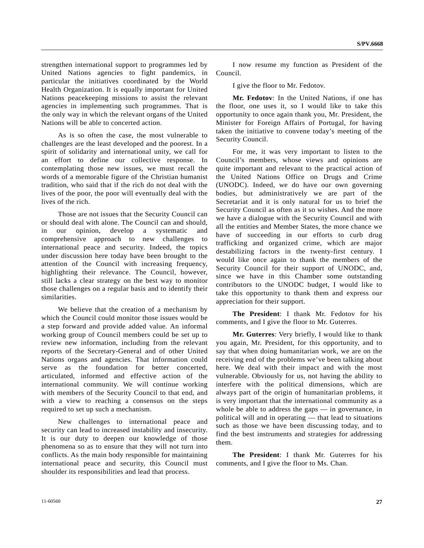strengthen international support to programmes led by United Nations agencies to fight pandemics, in particular the initiatives coordinated by the World Health Organization. It is equally important for United Nations peacekeeping missions to assist the relevant agencies in implementing such programmes. That is the only way in which the relevant organs of the United Nations will be able to concerted action.

 As is so often the case, the most vulnerable to challenges are the least developed and the poorest. In a spirit of solidarity and international unity, we call for an effort to define our collective response. In contemplating those new issues, we must recall the words of a memorable figure of the Christian humanist tradition, who said that if the rich do not deal with the lives of the poor, the poor will eventually deal with the lives of the rich.

 Those are not issues that the Security Council can or should deal with alone. The Council can and should, in our opinion, develop a systematic and comprehensive approach to new challenges to international peace and security. Indeed, the topics under discussion here today have been brought to the attention of the Council with increasing frequency, highlighting their relevance. The Council, however, still lacks a clear strategy on the best way to monitor those challenges on a regular basis and to identify their similarities.

 We believe that the creation of a mechanism by which the Council could monitor those issues would be a step forward and provide added value. An informal working group of Council members could be set up to review new information, including from the relevant reports of the Secretary-General and of other United Nations organs and agencies. That information could serve as the foundation for better concerted, articulated, informed and effective action of the international community. We will continue working with members of the Security Council to that end, and with a view to reaching a consensus on the steps required to set up such a mechanism.

 New challenges to international peace and security can lead to increased instability and insecurity. It is our duty to deepen our knowledge of those phenomena so as to ensure that they will not turn into conflicts. As the main body responsible for maintaining international peace and security, this Council must shoulder its responsibilities and lead that process.

 I now resume my function as President of the Council.

I give the floor to Mr. Fedotov.

**Mr. Fedotov**: In the United Nations, if one has the floor, one uses it, so I would like to take this opportunity to once again thank you, Mr. President, the Minister for Foreign Affairs of Portugal, for having taken the initiative to convene today's meeting of the Security Council.

 For me, it was very important to listen to the Council's members, whose views and opinions are quite important and relevant to the practical action of the United Nations Office on Drugs and Crime (UNODC). Indeed, we do have our own governing bodies, but administratively we are part of the Secretariat and it is only natural for us to brief the Security Council as often as it so wishes. And the more we have a dialogue with the Security Council and with all the entities and Member States, the more chance we have of succeeding in our efforts to curb drug trafficking and organized crime, which are major destabilizing factors in the twenty-first century. I would like once again to thank the members of the Security Council for their support of UNODC, and, since we have in this Chamber some outstanding contributors to the UNODC budget, I would like to take this opportunity to thank them and express our appreciation for their support.

**The President**: I thank Mr. Fedotov for his comments, and I give the floor to Mr. Guterres.

**Mr. Guterres**: Very briefly, I would like to thank you again, Mr. President, for this opportunity, and to say that when doing humanitarian work, we are on the receiving end of the problems we've been talking about here. We deal with their impact and with the most vulnerable. Obviously for us, not having the ability to interfere with the political dimensions, which are always part of the origin of humanitarian problems, it is very important that the international community as a whole be able to address the gaps — in governance, in political will and in operating — that lead to situations such as those we have been discussing today, and to find the best instruments and strategies for addressing them.

**The President**: I thank Mr. Guterres for his comments, and I give the floor to Ms. Chan.